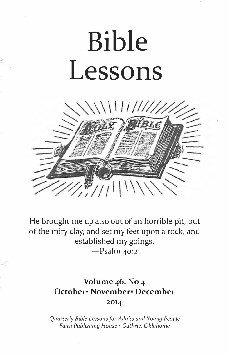# Bible Lessons



He brought me up also out of an horrible pit, out of the miry clay, and set my feet upon a rock, and established my goings.  $-$ Psalm  $40:2$ 

# Volume 46, No 4 October• November• December 2014

Quarterly Bible Lessons for Adults and Young People Faith Publishing House· Guthrie, Oklahoma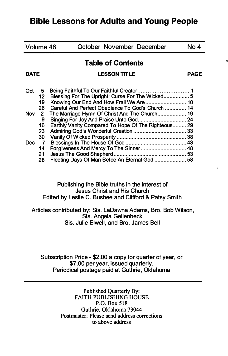# Bible Lessons for Adults and Young People

| Volume 46                                                                                                                                     |                                                                                       | October November December                                                                                                                                                                                                                                                                                   | No 4        |
|-----------------------------------------------------------------------------------------------------------------------------------------------|---------------------------------------------------------------------------------------|-------------------------------------------------------------------------------------------------------------------------------------------------------------------------------------------------------------------------------------------------------------------------------------------------------------|-------------|
| <b>Table of Contents</b>                                                                                                                      |                                                                                       |                                                                                                                                                                                                                                                                                                             |             |
| <b>DATE</b>                                                                                                                                   |                                                                                       | <b>LESSON TITLE</b>                                                                                                                                                                                                                                                                                         | <b>PAGE</b> |
| Oct<br><b>Nov</b><br>Dec 7                                                                                                                    | 5<br>12 <sup>1</sup><br>19<br>26<br>$\overline{2}$<br>9<br>16<br>23<br>30<br>21<br>28 | Blessing For The Upright: Curse For The Wicked 5<br>Careful And Perfect Obedience To God's Church  14<br>The Marriage Hymn Of Christ And The Church 19<br>Earthly Vanity Compared To Hope Of The Righteous 29<br>14 Forgiveness And Mercy To The Sinner 48<br>Fleeting Days Of Man Befoe An Eternal God  58 |             |
| Publishing the Bible truths in the interest of<br><b>Jesus Christ and His Church</b><br>Edited by Leslie C. Busbee and Clifford & Patsy Smith |                                                                                       |                                                                                                                                                                                                                                                                                                             |             |
| s santille that but Old LeDoume Adoms Due Dale Wille                                                                                          |                                                                                       |                                                                                                                                                                                                                                                                                                             |             |

Articles contributed by: Sis. LaDawna Adams, Bro. Bob Wilson, Sis. Angela Gellenbeck Sis. Julie Elwell, and Bro. James Bell

Subscription Price - \$2.00 a copy for quarter of year, or \$7.00 per year, issued quarterly. Periodical postage paid at Guthrie, Oklahoma

> Published Quarterly By: FAITH PUBLISHING HOUSE P.O. Box 518 Guthrie, Oklahoma 73044 Postmaster: Please send address corrections to above address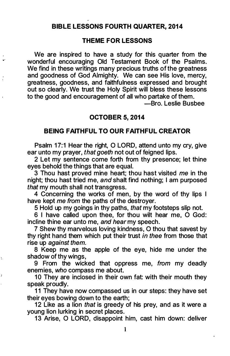#### THEME FOR LESSONS

We are inspired to have a study for this quarter from the wonderful encouraging Old Testament Book of the Psalms. We find in these writings many precious truths of the greatness and goodness of God Almighty. We can see His love, mercy, greatness, goodness, and faithfulness expressed and brought out so clearly. We trust the Holy Spirit will bless these lessons to the good and encouragement of all who partake of them.

-Bro. Leslie Busbee

#### OCTOBER 5, 2014

#### BEING FAITHFUL TO OUR FAITHFUL CREATOR

Psalm 17:1 Hear the right, 0 LORD, attend unto my cry, give ear unto my prayer, that goeth not out of feigned lips.

2 Let my sentence come forth from thy presence; let thine eyes behold the things that are equal.

3 Thou hast proved mine heart; thou hast visited me in the night; thou hast tried me, and shalt find nothing; I am purposed that my mouth shall not transgress.

4 Concerning the works of men, by the word of thy lips I have kept me from the paths of the destroyer.

5 Hold up my goings in thy paths, that my footsteps slip not.

6 I have called upon thee, for thou wilt hear me, O God: incline thine ear unto me, and hear my speech.

7 Shew thy marvelous loving kindness, 0 thou that savest by thy right hand them which put their trust in thee from those that rise up against them.

8 Keep me as the apple of the eye, hide me under the shadow of thy wings,

9 From the wicked that oppress me, from my deadly enemies, who compass me about.

10 They are inclosed in their own fat: with their mouth they speak proudly.

11 They have now compassed us in our steps: they have set their eyes bowing down to the earth;

12 Like as a lion that is greedy of his prey, and as it were a young lion lurking in secret places.

13 Arise, 0 LORD, disappoint him, cast him down: deliver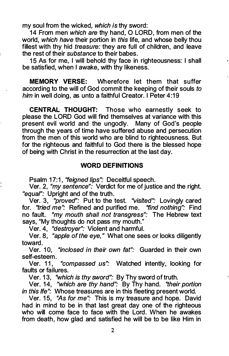my soul from the wicked, which is thy sword:

14 From men which are thy hand, O LORD, from men of the world, which have their portion in this life, and whose belly thou fillest with thy hid *treasure:* they are full of children, and leave the rest of their substance to their babes.

15 As for me, I will behold thy face in righteousness: I shall be satisfied, when I awake, with thy likeness.

MEMORY VERSE: Wherefore let them that suffer according to the will of God commit the keeping of their souls to him in well doing, as unto a faithful Creator. I Peter 4:19

CENTRAL THOUGHT: Those who earnestly seek to please the LORD God will find themselves at variance with this present evil world and the ungodly. Many of God's people through the years of time have suffered abuse and persecution from the men of this world who are blind to righteousness. But for the righteous and faithful to God there is the blessed hope of being with Christ in the resurrection at the last day.

#### WORD DEFINITIONS

Psalm 17:1, "feigned lips": Deceitful speech.

Ver. 2, "my sentence": Verdict for me of justice and the right. "equal": Upright and of the truth.

Ver. 3, "proved": Put to the test. "visited": Lovingly cared for. "tried me": Refined and purified me. "find nothing": Find no fault. "my mouth shall not transgress": The Hebrew text says, "My thoughts do not pass my mouth."

Ver. 4, *"destroyer":* Violent and harmful.

Ver. 8, "apple of the eye," What one sees or looks diligently toward.

Ver. 10. "inclosed in their own fat": Guarded in their own self-esteem.

Ver. 11, "compassed us": Watched intently, looking for faults or failures.

Ver. 13, "which is thy sword": By Thy sword of truth.

Ver. 14, "which are thy hand": By Thy hand. "their portion in this lfe": Whose treasures are in this fleeting present world.

Ver. 15, *"As for me"*: This is my treasure and hope. David had in mind to be in that last great day one of the righteous who will come face to face with the Lord. When he awakes from death, how glad and satisfied he will be to be like Him in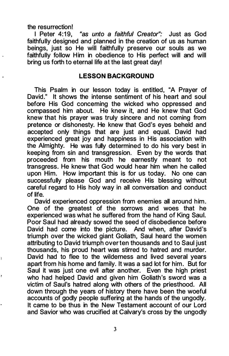the resurrection!<br>I Peter 4:19.

"as unto a faithful Creator": Just as God faithfully designed and planned in the creation of us as human beings, just so He will faithfully preserve our souls as we faithfully follow Him in obedience to His perfect will and will bring us forth to eternal life at the last great day!

#### LESSON BACKGROUND

This Psalm in our lesson today is entitled, "A Prayer of David." It shows the intense sentiment of his heart and soul before His God concerning the wicked who oppressed and compassed him about. He knew it, and He knew that God knew that his prayer was truly sincere and not coming from pretence or dishonesty. He knew that God's eyes beheld and accepted only things that are just and equal. David had experienced great joy and happiness in His association with the Almighty. He was fully determined to do his very best in keeping from sin and transgression. Even by the words that proceeded from his mouth he earnestly meant to not transgress. He knew that God would hear him when he called upon Him. How important this is for us today. No one can successfully please God and receive His blessing without careful regard to His holy way in all conversation and conduct of life.

David experienced oppression from enemies all around him. One of the greatest of the sorrows and woes that he experienced was what he suffered from the hand of King Saul. Poor Saul had already sowed the seed of disobedience before David had come into the picture. And when, after David's triumph over the wicked giant Goliath, Saul heard the women attributing to David triumph over ten thousands and to Saul just thousands, his proud heart was stirred to hatred and murder. David had to flee to the wilderness and lived several years apart from his home and family. It was a sad lot for him. But for Saul it was just one evil after another. Even the high priest who had helped David and given him Goliath's sword was a victim of Saul's hatred along with others of the priesthood. All down through the years of history there have been the woeful accounts of godly people suffering at the hands of the ungodly. It came to be thus in the New Testament account of our Lord and Savior who was crucified at Calvary's cross by the ungodly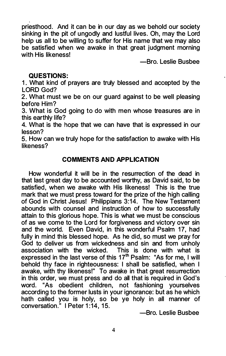priesthood. And it can be in our day as we behold our society sinking in the pit of ungodly and lustful lives. Oh, may the Lord help us all to be willing to suffer for His name that we may also be satisfied when we awake in that great judgment morning with His likeness!

-Bro. Leslie Busbee

#### QUESTIONS:

1. What kind of prayers are truly blessed and accepted by the LORD God?

2. What must we be on our guard against to be well pleasing before Him?

3. What is God going to do with men whose treasures are in this earthly life?

4. What is the hope that we can have that is expressed in our lesson?

5. How can we truly hope for the satisfaction to awake with His likeness?

# COMMENTS AND APPLICATION

How wonderful it will be in the resurrection of the dead in that last great day to be accounted worthy, as David said, to be satisfied, when we awake with His likeness! This is the true mark that we must press toward for the prize of the high calling of God in Christ Jesus! Philippians 3:14. The New Testament abounds with counsel and instruction of how to successfully attain to this glorious hope. This is what we must be conscious of as we come to the Lord for forgiveness and victory over sin and the world. Even David, in this wonderful Psalm 17, had fully in mind this blessed hope. As he did, so must we pray for God to deliver us from wickedness and sin and from unholy association with the wicked. This is done with what is expressed in the last verse of this  $17<sup>th</sup>$  Psalm: "As for me, I will behold thy face in righteousness: I shall be satisfied, when I awake, with thy likeness!" To awake in that great resurrection in this order, we must press and do all that is required in God's word. "As obedient children, not fashioning yourselves according to the former lusts in your ignorance: but as he which hath called you is holy, so be ye holy in all manner of conversation." I Peter 1:14, 15.

-Bro. Leslie Busbee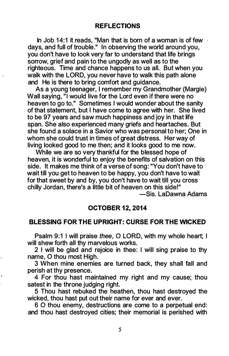In Job 14:1 it reads, "Man that is born of a woman is of few days, and full of trouble." In observing the world around you, you don't have to look very far to understand that life brings sorrow, grief and pain to the ungodly as well as to the righteous. Time and chance happens to us all. But when you walk with the LORD, you never have to walk this path alone and He is there to bring comfort and guidance.

As a young teenager, I remember my Grandmother (Margie) Wall saying, "I would live for the Lord even if there were no heaven to go to." Sometimes I would wonder about the sanity of that statement, but I have come to agree with her. She lived to be 97 years and saw much happiness and joy in that life span. She also experienced many griefs and heartaches. But she found a solace in a Savior who was personal to her; One in whom she could trust in times of great distress. Her way of living looked good to me then; and it looks good to me now.

While we are so very thankful for the blessed hope of heaven, it is wonderful to enjoy the benefits of salvation on this side. It makes me think of a verse of song: "You don't have to wait till you get to heaven to be happy, you don't have to wait for that sweet by and by, you don't have to wait till you cross chilly Jordan, there's a little bit of heaven on this side!" -Sis. LaDawna Adams

#### **OCTOBER 12, 2014**

#### BLESSING FOR THE UPRIGHT: CURSE FOR THE WICKED

Psalm 9:1 I will praise thee, 0 LORD, with my whole heart; I will shew forth all thy marvelous works.

2 I will be glad and rejoice in thee: I will sing praise to thy name, 0 thou most High.

3 When mine enemies are turned back, they shall fall and perish at thy presence.

4 For thou hast maintained my right and my cause; thou satest in the throne judging right.

5 Thou hast rebuked the heathen, thou hast destroyed the wicked, thou hast put out their name for ever and ever.

6 0 thou enemy, destructions are come to a perpetual end: and thou hast destroyed cities; their memorial is perished with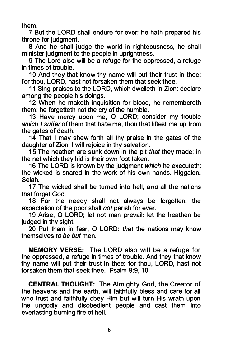them.

7 But the LORD shall endure for ever: he hath prepared his throne for judgment.

8 And he shall judge the world in righteousness, he shall minister judgment to the people in uprightness.

9 The Lord also will be a refuge for the oppressed, a refuge in times of trouble.

10 And they that know thy name will put their trust in thee: for thou, LORD, hast not forsaken them that seek thee.

11 Sing praises to the LORD, which dwelleth in Zion: declare among the people his doings.

12 When he maketh inquisition for blood, he remembereth them: he forgetteth not the cry of the humble.

13 Have mercy upon me, 0 LORD; consider my trouble which I suffer of them that hate me, thou that liftest me up from the gates of death.

14 That I may shew forth all thy praise in the gates of the daughter of Zion: I will rejoice in thy salvation.

15 The heathen are sunk down in the pit that they made: in the net which they hid is their own foot taken.

16 The LORD is known by the judgment which he executeth: the wicked is snared in the work of his own hands. Higgaion. Selah.

17 The wicked shall be turned into hell, and all the nations that forget God.

18 For the needy shall not always be forgotten: the expectation of the poor shall not perish for ever.

19 Arise, 0 LORD; let not man prevail: let the heathen be judged in thy sight.

20 Put them in fear, 0 LORD: that the nations may know themselves to be but men.

MEMORY VERSE: The LORD also will be a refuge for the oppressed, a refuge in times of trouble. And they that know thy name will put their trust in thee: for thou, LORD, hast not forsaken them that seek thee. Psalm 9:9, 10

CENTRAL THOUGHT: The Almighty God, the Creator of the heavens and the earth, will faithfully bless and care for all who trust and faithfully obey Him but will turn His wrath upon the ungodly and disobedient people and cast them into everlasting burning fire of hell.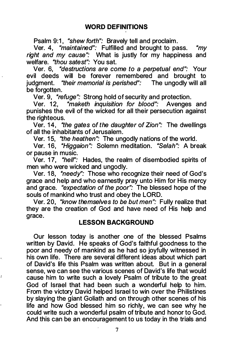Psalm 9:1, "shew forth": Bravely tell and proclaim.

Ver. 4, "maintained": Fulfilled and brought to pass. "my right and my cause": What is justly for my happiness and welfare. *"thou sate st":* You sat.

Ver. 6, ''destructions are come to a perpetual end": Your evil deeds will be forever remembered and brought to judgment. "their memorial is perished": The ungodly will all be forgotten.

Ver. 9, *"refuge"*: Strong hold of security and protection.

Ver. 12, ''maketh inquisition for blood": Avenges and punishes the evil of the wicked for all their persecution against the righteous.

Ver. 14, "the gates of the daughter of Zion": The dwellings of all the inhabitants of Jerusalem.

Ver. 15, "the heathen": The ungodly nations of the world.

Ver. 16, "Higgaion": Solemn meditation. "Selah": A break or pause in music.

Ver. 17, "hell": Hades, the realm of disembodied spirits of men who were wicked and ungodly.

Ver. 18. "needy": Those who recognize their need of God's grace and help and who earnestly pray unto Him for His mercy and grace. "expectation of the poor": The blessed hope of the souls of mankind who trust and obey the LORD.

Ver. 20, "know themselves to be but men": Fully realize that they are the creation of God and have need of His help and grace.

#### LESSON BACKGROUND

Our lesson today is another one of the blessed Psalms written by David. He speaks of God's faithful goodness to the poor and needy of mankind as he had so joyfully witnessed in his own life. There are several different ideas about which part of David's life this Psalm was written about. But in a general sense, we can see the various scenes of David's life that would cause him to write such a lovely Psalm of tribute to the great God of Israel that had been such a wonderful help to him. From the victory David helped Israel to win over the Philistines by slaying the giant Goliath and on through other scenes of his life and how God blessed him so richly, we can see why he could write such a wonderful psalm of tribute and honor to God. And this can be an encouragement to us today in the trials and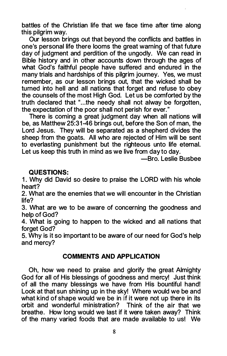battles of the Christian life that we face time after time along this pilgrim way.

Our lesson brings out that beyond the conflicts and battles in one's personal life there looms the great warning of that future day of judgment and perdition of the ungodly. We can read in Bible history and in other accounts down through the ages of what God's faithful people have suffered and endured in the many trials and hardships of this pilgrim journey. Yes, we must remember, as our lesson brings out, that the wicked shall be turned into hell and all nations that forget and refuse to obey the counsels of the most High God. Let us be comforted by the truth declared that "...the needy shall not alway be forgotten, the expectation of the poor shall not perish for ever."

There is coming a great judgment day when all nations will be, as Matthew 25:31-46 brings out, before the Son of man, the Lord Jesus. They will be separated as a shepherd divides the sheep from the goats. All who are rejected of Him will be sent to everlasting punishment but the righteous unto life eternal. Let us keep this truth in mind as we live from day to day.

-Bro. Leslie Busbee

#### QUESTIONS:

1. Why did David so desire to praise the LORD with his whole heart?

2. What are the enemies that we will encounter in the Christian life?

3. What are we to be aware of concerning the goodness and help of God?

4. What is going to happen to the wicked and all nations that forget God?

5. Why is it so important to be aware of our need for God's help and mercy?

#### COMMENTS AND APPLICATION

Oh, how we need to praise and glorify the great Almighty God for all of His blessings of goodness and mercy! Just think of all the many blessings we have from His bountiful hand! Look at that sun shining up in the sky! Where would we be and what kind of shape would we be in if it were not up there in its orbit and wonderful ministration? Think of the air that we breathe. How long would we last if it were taken away? Think<br>breathe. How long would we last if it were taken away? Think of the many varied foods that are made available to us! We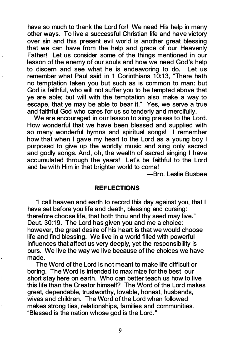have so much to thank the Lord for! We need His help in many other ways. To live a successful Christian life and have victory over sin and this present evil world is another great blessing that we can have from the help and grace of our Heavenly Father! Let us consider some of the things mentioned in our lesson of the enemy of our souls and how we need God 's help to discern and see what he is endeavoring to do. Let us remember what Paul said in 1 Corinthians 10:13, "There hath no temptation taken you but such as is common to man: but God is faithful, who will not suffer you to be tempted above that ye are able; but will with the temptation also make a way to escape, that ye may be able to bear it." Yes, we serve a true and faithful God who cares for us so tenderly and mercifully.

We are encouraged in our lesson to sing praises to the Lord. How wonderful that we have been blessed and supplied with so many wonderful hymns and spiritual songs! I remember how that when I gave my heart to the Lord as a young boy I purposed to give up the worldly music and sing only sacred and godly songs. And, oh, the wealth of sacred singing I have accumulated through the years! Let's be faithful to the Lord and be with Him in that brighter world to come!

-Bro. Leslie Busbee

#### REFLECTIONS

"I call heaven and earth to record this day against you, that I have set before you life and death, blessing and cursing: therefore choose life, that both thou and thy seed may live." Deut. 30:19. The Lord has given you and me a choice: however, the great desire of his heart is that we would choose life and find blessing. We live in a world filled with powerful influences that affect us very deeply, yet the responsibility is ours. We live the way we live because of the choices we have made.

The Word of the Lord is not meant to make life difficult or boring. The Word is intended to maximize for the best our short stay here on earth. Who can better teach us how to live this life than the Creator himself? The Word of the Lord makes great, dependable, trustworthy, lovable, honest, husbands, wives and children. The Word of the Lord when followed makes strong ties, relationships, families and communities. "Blessed is the nation whose god is the Lord."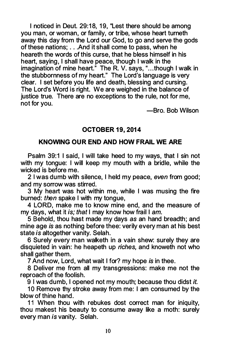I noticed in Deut. 29:18, 19, "Lest there should be among you man, or woman, or family, or tribe, whose heart turneth away this day from the Lord our God, to go and serve the gods of these nations; ... And it shall come to pass, when he heareth the words of this curse, that he bless himself in his heart, saying, I shall have peace, though I walk in the imagination of mine heart.<sup>\*</sup> The R. V. says, "...though I walk in the stubbornness of my heart." The Lord's language is very clear. I set before you life and death, blessing and cursing. The Lord's Word is right. We are weighed in the balance of justice true. There are no exceptions to the rule, not for me, not for you.

-Bro. Bob Wilson

# **OCTOBER 19, 2014**

# KNOWING OUR END AND HOW FRAIL WE ARE

Psalm 39:1 I said, I will take heed to my ways, that I sin not with my tongue: I will keep my mouth with a bridle, while the wicked is before me.

2 I was dumb with silence, I held my peace, even from good; and my sorrow was stirred.

3 My heart was hot within me, while I was musing the fire burned: *then* spake I with my tongue.

4 LORD, make me to know mine end, and the measure of my days, what it is; that I may know how frail I am.

5 Behold, thou hast made my days as an hand breadth; and mine age is as nothing before thee: verily every man at his best state is altogether vanity. Selah.

6 Surely every man walketh in a vain shew: surely they are disquieted in vain: he heapeth up riches, and knoweth not who shall gather them.

7 And now, Lord, what wait I for? my hope is in thee.

8 Deliver me from all my transgressions: make me not the reproach of the foolish.

91 was dumb, I opened not my mouth; because thou didst it.

10 Remove thy stroke away from me: I am consumed by the blow of thine hand.

11 When thou with rebukes dost correct man for iniquity, thou makest his beauty to consume away like a moth: surely every man is vanity. Selah.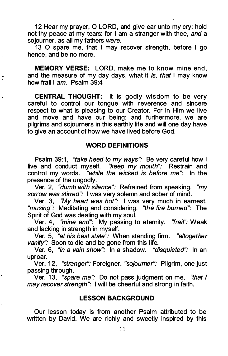12 Hear my prayer, 0 LORD, and give ear unto my cry; hold not thy peace at my tears: for I am a stranger with thee, and a sojourner, as all my fathers were.

13 0 spare me, that I may recover strength, before I go hence, and be no more.

MEMORY VERSE: LORD, make me to know mine end, and the measure of my day days, what it is, that I may know how frail I am. Psalm 39:4

CENTRAL THOUGHT: It is godly wisdom to be very careful to control our tongue with reverence and sincere respect to what is pleasing to our Creator. For in Him we live and move and have our being; and furthermore, we are pilgrims and sojourners in this earthly life and will one day have to give an account of how we have lived before God.

#### WORD DEFINITIONS

Psalm 39:1, "take heed to my ways": Be very careful how I live and conduct myself. "keep my mouth": Restrain and control my words. "while the wicked is before me": In the presence of the ungodly.

Ver. 2, "dumb with silence": Refrained from speaking. "my sorrow was stirred": I was very solemn and sober of mind.

Ver. 3, "My heart was hot": I was very much in earnest. "musing": Meditating and considering. "the fire burned": The Spirit of God was dealing with my soul.

Ver. 4, "mine end": My passing to eternity. "frail": Weak and lacking in strength in myself.

Ver. 5, ''at his best state": When standing firm. "altogether vanity": Soon to die and be gone from this life.

Ver. 6. "in a vain show": In a shadow. "disquieted": In an uproar.

Ver. 12, "stranger": Foreigner. "sojourner": Pilgrim, one just passing through.

Ver. 13, "spare me": Do not pass judgment on me. "that I may recover strength": I will be cheerful and strong in faith.

#### LESSON BACKGROUND

Our lesson today is from another Psalm attributed to be written by David. We are richly and sweetly inspired by this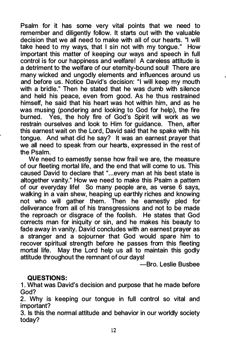Psalm for it has some very vital points that we need to remember and diligently follow. It starts out with the valuable decision that we all need to make with all of our hearts. "I will take heed to my ways, that I sin not with my tongue." How important this matter of keeping our ways and speech in full control is for our happiness and welfare! A careless attitude is a detriment to the welfare of our eternity-bound soul! There are many wicked and ungodly elements and influences around us and before us. Notice David's decision: "I will keep my mouth with a bridle." Then he stated that he was dumb with silence and held his peace, even from good. As he thus restrained himself, he said that his heart was hot within him, and as he was musing (pondering and looking to God for help), the fire burned. Yes, the holy fire of God's Spirit will work as we restrain ourselves and look to Him for guidance. Then, after this earnest wait on the Lord, David said that he spake with his tongue. And what did he say? It was an earnest prayer that we all need to speak from our hearts, expressed in the rest of the Psalm.

We need to eamestly sense how frail we are, the measure of our fleeting mortal life, and the end that will come to us. This caused David to declare that "... every man at his best state is altogether vanity." How we need to make this Psalm a pattern of our everyday lifel So many people are, as verse 6 says, walking in a vain shew, heaping up earthly riches and knowing not who will gather them. Then he earnestly pled for deliverance from all of his transgressions and not to be made the reproach or disgrace of the foolish. He states that God corrects man for iniquity or sin, and he makes his beauty to fade away in vanity. David concludes with an earnest prayer as a stranger and a sojourner that God would spare him to recover spiritual strength before he passes from this fleeting mortal life. May the Lord help us all to maintain this godly attitude throughout the remnant of our daysl

-Bro. Leslie Busbee

# QUESTIONS:

1. What was David's decision and purpose that he made before God?

2. Why is keeping our tongue in full control so vital and important?

3. Is this the normal attitude and behavior in our worldly society today?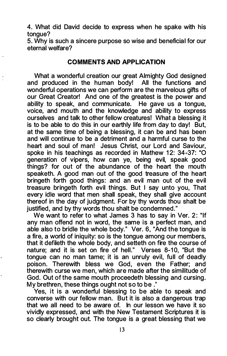4. What did David decide to express when he spake with his tongue?

5. Why is such a sincere purpose so wise and beneficial for our eternal welfare?

# COMMENTS AND APPLICATION

What a wonderful creation our great Almighty God designed and produced in the human body! All the functions and wonderful operations we can perform are the marvelous gifts of our Great Creator! And one of the greatest is the power and ability to speak, and communicate. He gave us a tongue, voice, and mouth and the knowledge and ability to express ourselves and talk to other fellow creatures! What a blessing it is to be able to do this in our earthly life from day to day! But, at the same time of being a blessing, it can be and has been and will continue to be a detriment and a harmful curse to the heart and soul of man! Jesus Christ, our Lord and Saviour, spoke in his teachings as recorded in Mathew 12: 34-37: "0 generation of vipers, how can ye, being evil, speak good things? for out of the abundance of the heart the mouth speaketh. A good man out of the good treasure of the heart bringeth forth good things: and an evil man out of the evil treasure bringeth forth evil things. But I say unto you, That every idle word that men shall speak, they shall give account thereof in the day of judgment. For by thy words thou shalt be justified, and by thy words thou shalt be condemned."

We want to refer to what James 3 has to say in Ver. 2: "If any man offend not in word, the same is a perfect man, and able also to bridle the whole body." Ver. 6, "And the tongue is a fire, a world of iniquity: so is the tongue among our members, that it defileth the whole body, and setteth on fire the course of nature; and it is set on fire of hell." Verses 8-10, "But the tongue can no man tame; it is an unruly evil, full of deadly poison. Therewith bless we God, even the Father; and therewith curse we men, which are made after the similitude of God. Out of the same mouth proceedeth blessing and cursing. My brethren, these things ought not so to be ."

Yes, it is a wonderful blessing to be able to speak and converse with our fellow man. But it is also a dangerous trap that we all need to be aware of. In our lesson we have it so vividly expressed, and with the New Testament Scriptures it is so clearly brought out. The tongue is a great blessing that we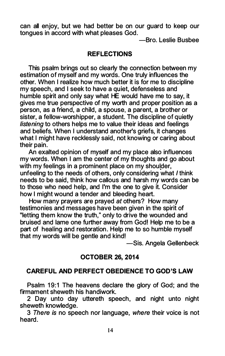can all enjoy, but we had better be on our guard to keep our tongues in accord with what pleases God.

-Bro. Leslie Busbee

#### REFLECTIONS

This psalm brings out so clearly the connection between my estimation of myself and my words. One truly influences the other. When I realize how much better it is for me to discipline my speech, and I seek to have a quiet, defenseless and humble spirit and only say what HE would have me to say, it gives me true perspective of my worth and proper position as a person, as a friend, a child, a spouse, a parent, a brother or sister, a fellow-worshipper, a student. The discipline of quietly listening to others helps me to value their ideas and feelings and beliefs. When I understand another's griefs, it changes what I might have recklessly said, not knowing or caring about their pain.

An exalted opinion of myself and my place also influences my words. When I am the center of my thoughts and go about with my feelings in a prominent place on my shoulder, unfeeling to the needs of others, only considering what I think needs to be said, think how callous and harsh my words can be to those who need help, and I'm the one to give it. Consider how I might wound a tender and bleeding heart.

How many prayers are prayed at others? How many testimonies and messages have been given in the spirit of "letting them know the truth," only to drive the wounded and bruised and lame one further away from God! Help me to be a part of healing and restoration. Help me to so humble myself that my words will be gentle and kind!

-Sis. Angela Gellenbeck

# OCTOBER 26, 2014

#### CAREFUL AND PERFECT OBEDIENCE TO GOD'S LAW

Psalm 19:1 The heavens declare the glory of God; and the firmament sheweth his handiwork.

2 Day unto day uttereth speech, and night unto night sheweth knowledge.

3 There is no speech nor language, where their voice is not heard.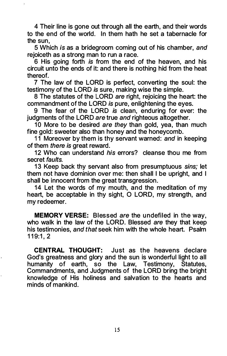4 Their line is gone out through all the earth, and their words to the end of the world. In them hath he set a tabernacle for the sun,

5 Which is as a bridegroom coming out of his chamber, and rejoiceth as a strong man to run a race.

6 His going forth is from the end of the heaven, and his circuit unto the ends of it: and there is nothing hid from the heat thereof.

7 The law of the LORD is perfect, converting the soul: the testimony of the LORD is sure, making wise the simple.

8 The statutes of the LORD are right, rejoicing the heart: the commandment of the LORD is pure, enlightening the eyes.

9 The fear of the LORD is clean, enduring for ever: the judgments of the LORD are true and righteous altogether.

10 More to be desired are they than gold, yea, than much fine gold: sweeter also than honey and the honeycomb.

11 Moreover by them is thy servant warned: and in keeping of them there is great reward.

12 Who can understand his errors? cleanse thou me from secret faults.

13 Keep back thy servant also from presumptuous sins; let them not have dominion over me: then shall I be upright, and I shall be innocent from the great transgression.

14 Let the words of my mouth, and the meditation of my heart, be acceptable in thy sight, O LORD, my strength, and my redeemer.

MEMORY VERSE: Blessed are the undefiled in the way, who walk in the law of the LORD. Blessed are they that keep his testimonies, and that seek him with the whole heart. Psalm 119:1, 2

CENTRAL THOUGHT: Just as the heavens declare God's greatness and glory and the sun is wonderful light to all humanity of earth, so the Law, Testimony, Statutes, Commandments, and Judgments of the LORD bring the bright knowledge of His holiness and salvation to the hearts and minds of mankind.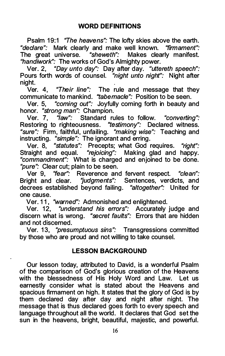Psalm 19:1 "The heavens": The lofty skies above the earth. "declare": Mark clearly and make well known. "firmament": The great universe. ''sheweth": Makes clearly manifest. "*handiwork":* The works of God's Almighty power.

Ver. 2, "Day unto day": Day after day. "uttereth speech": Pours forth words of counsel. "night unto night": Night after night.

Ver. 4. "Their line": The rule and message that they communicate to mankind. "tabernacle": Position to be seen.

Ver. 5, "coming out": Joyfully coming forth in beauty and honor. *"strong man":* Champion.

Ver. 7, *"law":* Standard rules to follow. *"converting":* Restoring to righteousness. *"testimony":* Declared witness. "s*ure":* Firm, faithful, unfailing. *"making wise":* Teaching and instructing. "simple": The ignorant and erring.

Ver. 8, "statutes": Precepts; what God requires. "*right":* Straight and equal. *"rejoicing":* Making glad and happy. "commandment": What is charged and enjoined to be done. "pure": Clear cut; plain to be seen.

Ver 9, "fear": Reverence and fervent respect. "clean": Bright and clear. "judgments": Sentences, verdicts, and decrees established beyond failing. "altogether": United for one cause.

Ver. 11, "warned": Admonished and enlightened.

Ver. 12, "understand his errors": Accurately judge and discern what is wrong. "secret faults": Errors that are hidden and not discerned.

Ver. 13, "presumptuous sins": Transgressions committed by those who are proud and not willing to take counsel.

# LESSON BACKGROUND

Our lesson today, attributed to David, is a wonderful Psalm of the comparison of God's glorious creation of the Heavens with the blessedness of His Holy Word and Law. Let us earnestly consider what is stated about the Heavens and spacious firmament on high. It states that the glory of God is by them declared day after day and night after night. The message that is thus declared goes forth to every speech and language throughout all the world. It declares that God set the sun in the heavens, bright, beautiful, majestic, and powerful.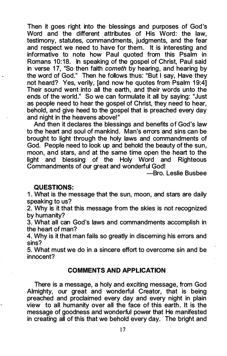Then it goes right into the blessings and purposes of God's Word and the different attributes of His Word: the law, testimony, statutes, commandments, judgments, and the fear and respect we need to have for them. It is interesting and informative to note how Paul quoted from this Psalm in Romans 10:18. In speaking of the gospel of Christ, Paul said in verse 17, "So then faith cometh by hearing, and hearing by the word of God." Then he follows thus: "But I say, Have they not heard? Yes, verily, [and now he quotes from Psalm 19:4] Their sound went into all the earth, and their words unto the ends of the world." So we can formulate it all by saying: "Just as people need to hear the gospel of Christ, they need to hear, behold, and give heed to the gospel that is preached every day and night in the heavens above!"

And then it declares the blessings and benefits of God's law to the heart and soul of mankind. Man's errors and sins can be brought to light through the holy laws and commandments of God. People need to look up and behold the beauty of the sun, moon, and stars, and at the same time open the heart to the light and blessing of the Holy Word and Righteous light and blessing of the Holy Word and Commandments of our great and wonderful God!

-Bro. Leslie Busbee

#### QUESTIONS:

1. What is the message that the sun, moon, and stars are daily speaking to us?

2. Why is it that this message from the skies is not recognized by humanity?

3. What all can God's laws and commandments accomplish in the heart of man?

4. Why is it that man fails so greatly in discerning his errors and sins?

5. What must we do in a sincere effort to overcome sin and be innocent?

#### COMMENTS AND APPLICATION

There is a message, a holy and exciting message, from God Almighty, our great and wonderful Creator, that is being preached and proclaimed every day and every night in plain view to all humanity over all the face of this earth. It is the message of goodness and wonderful power that He manifested in creating all of this that we behold every day. The bright and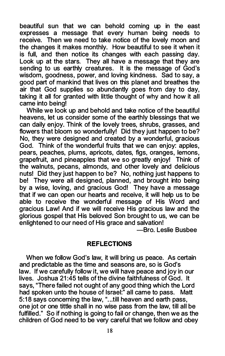beautiful sun that we can behold coming up in the east expresses a message that every human being needs to receive. Then we need to take notice of the lovely moon and the changes it makes monthly. How beautiful to see it when it is full, and then notice its changes with each passing day. Look up at the stars. They all have a message that they are sending to us earthly creatures. It is the message of God's wisdom, goodness, power, and loving kindness. Sad to say, a good part of mankind that lives on this planet and breathes the air that God supplies so abundantly goes from day to day, taking it all for granted with little thought of why and how it all came into beingl

While we look up and behold and take notice of the beautiful heavens, let us consider some of the earthly blessings that we can daily enjoy. Think of the lovely trees, shrubs, grasses, and flowers that bloom so wonderfully! Did they just happen to be? No, they were designed and created by a wonderful, gracious God. Think of the wonderful fruits that we can enjoy: apples, pears, peaches, plums, apricots, dates, figs, oranges, lemons, grapefruit, and pineapples that we so greatly enjoyl Think of the walnuts, pecans, almonds, and other lovely and delicious nutsl Did they just happen to be? No, nothing just happens to bel They were all designed, planned, and brought into being by a wise, loving, and gracious Godl They have a message that if we can open our hearts and receive, it will help us to be able to receive the wonderful message of His Word and gracious Lawl And if we will receive His gracious law and the glorious gospel that His beloved Son brought to us, we can be enlightened to our need of His grace and salvation!

-Bro. Leslie Busbee

#### **REFLECTIONS**

When we follow God's law, it will bring us peace. As certain and predictable as the time and seasons are, so is God's law. If we carefully follow it, we will have peace and joy in our lives. Joshua 21 :45 tells of the divine faithfulness of God. It says, "There failed not ought of any good thing which the Lord had spoken unto the house of Israel:" all came to pass. Matt 5:18 says concerning the law, " . .. till heaven and earth pass, one jot or one tittle shall in no wise pass from the law, till all be fulfilled." So if nothing is going to fail or change, then we as the children of God need to be very careful that we follow and obey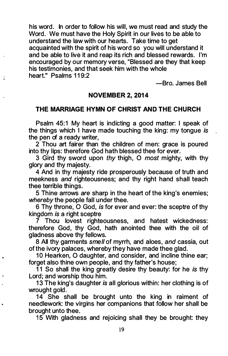his word. In order to follow his will, we must read and study the Word. We must have the Holy Spirit in our lives to be able to understand the law with our hearts. Take time to get acquainted with the spirit of his word so you will understand it and be able to live it and reap its rich and blessed rewards. I'm encouraged by our memory verse, "Blessed are they that keep his testimonies, and that seek him with the whole heart." Psalms 119:2

-Bro. James Bell

# **NOVEMBER 2, 2014**

#### THE MARRIAGE HYMN OF CHRIST AND THE CHURCH

Psalm 45:1 My heart is indicting a good matter: I speak of the things which I have made touching the king: my tongue is the pen of a ready writer,

2 Thou art fairer than the children of men: grace is poured into thy lips: therefore God hath blessed thee for ever.

3 Gird thy sword upon thy thigh, O most mighty, with thy glory and thy majesty.

4 And in thy majesty ride prosperously because of truth and meekness and righteousness; and thy right hand shall teach thee terrible things.

5 Thine arrows are sharp in the heart of the king's enemies; whereby the people fall under thee.

6 Thy throne, 0 God, is for ever and ever: the sceptre of thy kingdom is a right sceptre

7 Thou lovest righteousness, and hatest wickedness: therefore God, thy God, hath anointed thee with the oil of gladness above thy fellows.

8 All thy garments smell of myrrh, and aloes, and cassia, out of the ivory palaces, whereby they have made thee glad.

10 Hearken, O daughter, and consider, and incline thine ear; forget also thine own people, and thy father's house;

11 So shall the king greatly desire thy beauty: for he is thy Lord; and worship thou him.

13 The king's daughter is all glorious within: her clothing is of wrought gold.

14 She shall be brought unto the king in raiment of needlework: the virgins her companions that follow her shall be brought unto thee.

15 With gladness and rejoicing shall they be brought: they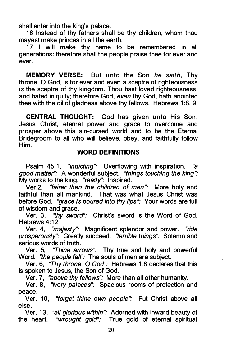shall enter into the king's palace.

16 Instead of thy fathers shall be thy children, whom thou mayest make princes in all the earth.

17 I will make thy name to be remembered in all generations: therefore shall the people praise thee for ever and ever.

MEMORY VERSE: But unto the Son he saith, Thy throne, 0 God, is for ever and ever: a sceptre of righteousness is the sceptre of thy kingdom. Thou hast loved righteousness, and hated iniquity; therefore God, even thy God, hath anointed thee with the oil of gladness above thy fellows. Hebrews 1:8, 9

CENTRAL THOUGHT: God has given unto His Son, Jesus Christ, eternal power and grace to overcome and prosper above this sin-cursed world and to be the Eternal Bridegroom to all who will believe, obey, and faithfully follow Him.

#### WORD DEFINITIONS

Psalm 45:1, "indicting": Overflowing with inspiration. "a good matter": A wonderful subject. "things touching the king": My works to the king. "ready": Inspired.

Ver.2. "fairer than the children of men": More holy and faithful than all mankind. That was what Jesus Christ was before God. "grace is poured into thy lips": Your words are full of wisdom and grace.

Ver. 3. "thy sword": Christ's sword is the Word of God. Hebrews 4:12

Ver. 4, "majesty": Magnificent splendor and power. "ride prosperously": Greatly succeed. "terrible things": Solemn and serious words of truth.

Ver. 5, "Thine arrows": Thy true and holy and powerful Word. "the people fall": The souls of men are subject.

Ver. 6, "Thy throne, O God": Hebrews 1:8 declares that this is spoken to Jesus, the Son of God.

Ver. 7, "above thy fellows": More than all other humanity.

Ver. 8, "ivory palaces": Spacious rooms of protection and peace.

Ver. 10, "forget thine own people": Put Christ above all else.

Ver. 13, "all glorious within": Adorned with inward beauty of the heart. "wrought gold": True gold of eternal spiritual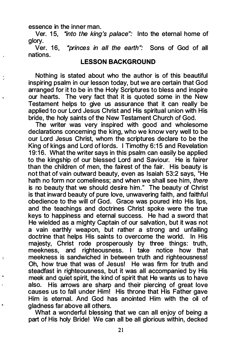essence in the inner man.

ŧ

Ver. 15, "into the king's palace": Into the eternal home of glory.

Ver. 16, "princes in all the earth": Sons of God of all nations.

#### LESSON BACKGROUND

Nothing is stated about who the author is of this beautiful inspiring psalm in our lesson today, but we are certain that God arranged for it to be in the Holy Scriptures to bless and inspire our hearts. The very fact that it is quoted some in the New Testament helps to give us assurance that it can really be applied to our Lord Jesus Christ and His spiritual union with His bride, the holy saints of the New Testament Church of God.

The writer was very inspired with good and wholesome declarations concerning the king, who we know very well to be our Lord Jesus Christ, whom the scriptures declare to be the King of kings and Lord of lords. I Timothy 6:15 and Revelation 19:16. What the writer says in this psalm can easily be applied to the kingship of our blessed Lord and Saviour. He is fairer than the children of men, the fairest of the fair. His beauty is not that of vain outward beauty, even as Isaiah 53:2 says, "He hath no form nor comeliness; and when we shall see him, there is no beauty that we should desire him." The beauty of Christ is that inward beauty of pure love, unwavering faith, and faithful obedience to the will of God. Grace was poured into His lips, and the teachings and doctrines Christ spoke were the true keys to happiness and eternal success. He had a sword that He wielded as a mighty Captain of our salvation, but it was not a vain earthly weapon, but rather a strong and unfailing doctrine that helps His saints to overcome the world. In His majesty, Christ rode prosperously by three things: truth, meekness, and righteousness. I take notice how that meekness is sandwiched in between truth and righteousnessl Oh, how true that was of Jesusl He was firm for truth and steadfast in righteousness, but it was all accompanied by His meek and quiet spirit, the kind of spirit that He wants us to have also. His arrows are sharp and their piercing of great love causes us to fall under Himl His throne that His Father gave Him is eternal. And God has anointed Him with the oil of gladness far above all others.

What a wonderful blessing that we can all enjoy of being a part of His holy Bride! We can all be all glorious within, decked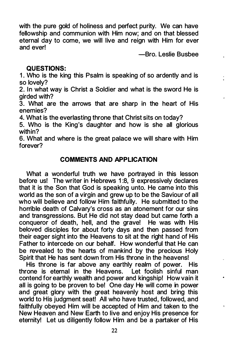with the pure gold of holiness and perfect purity. We can have fellowship and communion with Him now; and on that blessed eternal day to come, we will live and reign with Him for ever and ever!

-Bro. Leslie Busbee

#### QUESTIONS:

1. Who is the king this Psalm is speaking of so ardently and is so lovely?

2. In what way is Christ a Soldier and what is the sword He is girded with?

3. What are the arrows that are sharp in the heart of His enemies?

4. What is the everlasting throne that Christ sits on today?

5. Who is the King's daughter and how is she all glorious within?

6. What and where is the great palace we will share with Him forever?

# COMMENTS AND APPLICATION

What a wonderful truth we have portrayed in this lesson before us! The writer in Hebrews 1 :8, 9 expressively declares that it is the Son that God is speaking unto. He came into this world as the son of a virgin and grew up to be the Saviour of all who will believe and follow Him faithfully. He submitted to the horrible death of Calvary's cross as an atonement for our sins and transgressions. But He did not stay dead but came forth a conqueror of death, hell, and the grave! He was with His beloved disciples for about forty days and then passed from their eager sight into the Heavens to sit at the right hand of His Father to intercede on our behalf. How wonderful that He can be revealed to the hearts of mankind by the precious Holy Spirit that He has sent down from His throne in the heavens!

His throne is far above any earthly realm of power. His cone is eternal in the Heavens. Let foolish sinful man throne is eternal in the Heavens. contend for earthly wealth and power and kingship! How vain it all is going to be proven to be! One day He will come in power and great glory with the great heavenly host and bring this world to His judgment seat! All who have trusted, followed, and faithfully obeyed Him will be accepted of Him and taken to the New Heaven and New Earth to live and enjoy His presence for eternity! Let us diligently follow Him and be a partaker of His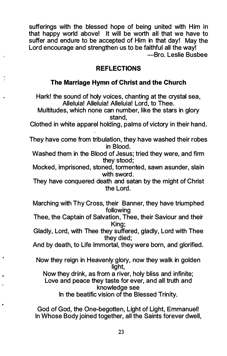sufferings with the blessed hope of being united with Him in that happy world above! It will be worth all that we have to suffer and endure to be accepted of Him in that day! May the Lord encourage and strengthen us to be faithful all the way! -Bro. Leslie Busbee

# REFLECTIONS

#### The Marriage Hymn of Christ and the Church

Hark! the sound of holy voices, chanting at the crystal sea, Alleluia! Alleluia! Alleluia! Lord, to Thee.

Multitudes, which none can number, like the stars in glory stand,

Clothed in white apparel holding, palms of victory in their hand.

They have come from tribulation, they have washed their robes in Blood.

Washed them in the Blood of Jesus; tried they were, and firm they stood;

Mocked, imprisoned, stoned, tormented, sawn asunder, slain with sword.

They have conquered death and satan by the might of Christ the Lord.

Marching with Thy Cross, their Banner, they have triumphed following

Thee, the Captain of Salvation, Thee, their Saviour and their King;

Gladly, Lord, with Thee they suffered, gladly, Lord with Thee they died;

And by death, to Life Immortal, they were born, and glorified.

Now they reign in Heavenly glory, now they walk in golden light,

**x** 

Now they drink, as from a river, holy bliss and infinite; Love and peace they taste for ever, and all truth and knowledge see

In the beatific vision of the Blessed Trinity.

God of God, the One-begotten, Light of Light, Emmanuel! In Whose Body joined together, all the Saints forever dwell,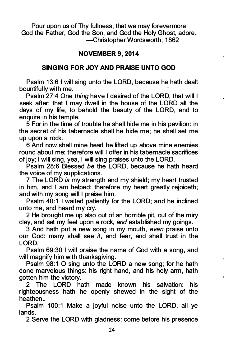Pour upon us of Thy fullness, that we may forevermore God the Father, God the Son, and God the Holy Ghost, adore. -Christopher Wordsworth, 1862

#### NOVEMBER 9, 201 4

#### SINGING FOR JOY AND PRAISE UNTO GOD

Psalm 13:6 I will sing unto the LORD, because he hath dealt bountifully with me.

Psalm 27:4 One thing have I desired of the LORD, that will I seek after; that I may dwell in the house of the LORD all the days of my life, to behold the beauty of the LORD, and to enquire in his temple.

5 For in the time of trouble he shall hide me in his pavilion: in the secret of his tabernacle shall he hide me; he shall set me up upon a rock.

6 And now shall mine head be lifted up above mine enemies round about me: therefore will I offer in his tabernacle sacrifices of joy; I will sing, yea, I will sing praises unto the LORD.

Psalm 28:6 Blessed be the LORD, because he hath heard the voice of my supplications.

7 The LORD is my strength and my shield; my heart trusted in him, and I am helped: therefore my heart greatly rejoiceth; and with my song will I praise him.

Psalm 40:1 I waited patiently for the LORD; and he inclined unto me, and heard my cry.

2 He brought me up also out of an horrible pit, out of the miry clay, and set my feet upon a rock, and established my goings.

3 And hath put a new song in my mouth, even praise unto our God: many shall see it, and fear, and shall trust in the LORD.

Psalm 69:30 I will praise the name of God with a song, and will magnify him with thanksgiving.

Psalm 98:1 0 sing unto the LORD a new song; for he hath done marvelous things: his right hand, and his holy arm, hath gotten him the victory.

2 The LORD hath made known his salvation: his righteousness hath he openly shewed in the sight of the heathen..

Psalm 100:1 Make a joyful noise unto the LORD, all ye lands.

2 Serve the LORD with gladness: come before his presence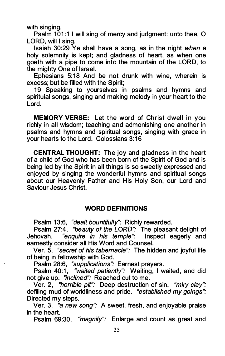with singing.

Psalm 101:1 I will sing of mercy and judgment: unto thee, 0 LORD, will I sing.

Isaiah 30:29 Ye shall have a song, as in the night when a holy solemnity is kept; and gladness of heart, as when one goeth with a pipe to come into the mountain of the LORD, to the mighty One of Israel.

Ephesians 5:18 And be not drunk with wine, wherein is excess; but be filled with the Spirit;

19 Speaking to yourselves in psalms and hymns and spirituial songs, singing and making melody in your heart to the Lord.

MEMORY VERSE: Let the word of Christ dwell in you richly in all wisdom; teaching and admonishing one another in psalms and hymns and spiritual songs, singing with grace in your hearts to the Lord. Colossians 3:16

**CENTRAL THOUGHT:** The joy and gladness in the heart of a child of God who has been born of the Spirit of God and is being led by the Spirit in all things is so sweetly expressed and enjoyed by singing the wonderful hymns and spiritual songs about our Heavenly Father and His Holy Son, our Lord and Saviour Jesus Christ.

# WORD DEFINITIONS

Psalm 13:6, "dealt bountifully": Richly rewarded.

Psalm 27:4, "beauty of the LORD": The pleasant delight of Jehovah. "enquire in his temple": Inspect eagerly and earnestly consider all His Word and Counsel.

Ver. 5, "secret of his tabernacle": The hidden and joyful life of being in fellowship with God.

Psalm 28:6, *"supplications":* Earnest prayers.

Psalm 40:1, *"waited patiently":* Waiting, I waited, and did not give up. "inclined": Reached out to me.

Ver. 2, "horrible pit": Deep destruction of sin. "miry clay": defiling mud of worldliness and pride. "established my goings": Directed my steps.

Ver. 3. "a new song": A sweet, fresh, and enjoyable praise in the heart.

Psalm 69:30, "magnify": Enlarge and count as great and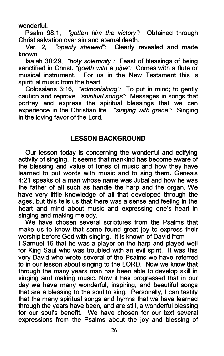wonderful.

Psalm 98:1, "gotten him the victory": Obtained through Christ salvation over sin and eternal death.

Ver. 2, "openly shewed": Clearly revealed and made known.

Isaiah 30:29, "holy solemnity": Feast of blessings of being sanctified in Christ. *"goeth with a pipe":* Comes with a flute or musical instrument. For us in the New Testament this is spiritual music from the heart.

Colossians 3:16, "admonishing": To put in mind; to gently caution and reprove. "spiritual songs": Messages in songs that portray and express the spiritual blessings that we can experience in the Christian life. "singing with grace": Singing in the loving favor of the Lord.

#### LESSON BACKGROUND

Our lesson today is concerning the wonderful and edifying activity of singing. It seems that mankind has become aware of the blessing and value of tones of music and how they have learned to put words with music and to sing them. Genesis 4:21 speaks of a man whose name was Jubal and how he was the father of all such as handle the harp and the organ. We have very little knowledge of all that developed through the ages, but this tells us that there was a sense and feeling in the heart and mind about music and expressing one's heart in singing and making melody.

We have chosen several scriptures from the Psalms that make us to know that some found great joy to express their worship before God with singing. It is known of David from

I Samuel 16 that he was a player on the harp and played well for King Saul who was troubled with an evil spirit. It was this very David who wrote several of the Psalms we have referred to in our lesson about singing to the LORD. Now we know that through the many years man has been able to develop skill in singing and making music. Now it has progressed that in our day we have many wonderful, inspiring, and beautiful songs that are a blessing to the soul to sing. Personally, I can testify that the many spiritual songs and hymns that we have learned through the years have been, and are still, a wonderful blessing for our soul's benefit. We have chosen for our text several expressions from the Psalms about the joy and blessing of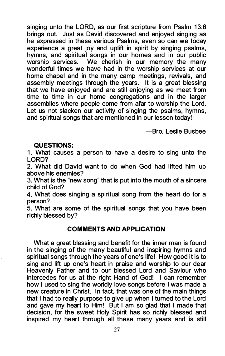singing unto the LORD, as our first scripture from Psalm 13:6 brings out. Just as David discovered and enjoyed singing as he expressed in these various Psalms, even so can we today experience a great joy and uplift in spirit by singing psalms, hymns, and spiritual songs in our homes and in our public worship services. We cherish in our memory the many wonderful times we have had in the worship services at our home chapel and in the many camp meetings, revivals, and assembly meetings through the years. It is a great blessing that we have enjoyed and are still enjoying as we meet from time to time in our home congregations and in the larger assemblies where people come from afar to worship the Lord. Let us not slacken our activity of singing the psalms, hymns, and spiritual songs that are mentioned in our lesson today!

-Bro. Leslie Busbee

# QUESTIONS:

1. What causes a person to have a desire to sing unto the LORD?

2. What did David want to do when God had lifted him up above his enemies?

3. What is the "new song" that is put into the mouth of a sincere child of God?

4. What does singing a spiritual song from the heart do for a person?

5. What are some of the spiritual songs that you have been richly blessed by?

# COMMENTS AND APPLICATION

What a great blessing and benefit for the inner man is found in the singing of the many beautiful and inspiring hymns and spiritual songs through the years of one's life! How good it is to sing and lift up one's heart in praise and worship to our dear Heavenly Father and to our blessed Lord and Saviour who intercedes for us at the right Hand of God! I can remember how I used to sing the worldly love songs before I was made a new creature in Christ. In fact, that was one of the main things that I had to really purpose to give up when I turned to the Lord and gave my heart to Him! But I am so glad that I made that decision, for the sweet Holy Spirit has so richly blessed and inspired my heart through all these many years and is still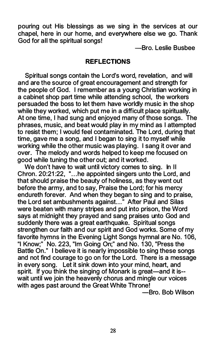pouring out His blessings as we sing in the services at our chapel, here in our home, and everywhere else we go. Thank God for all the spiritual songs!

-Bro. Leslie Busbee

#### **REFLECTIONS**

Spiritual songs contain the Lord's word, revelation, and will and are the source of great encouragement and strength for the people of God. I remember as a young Christian working in a cabinet shop part time while attending school, the workers persuaded the boss to let them have worldly music in the shop while they worked, which put me in a difficult place spiritually. At one time, I had sung and enjoyed many of those songs. The phrases, music, and beat would play in my mind as I attempted to resist them; I would feel contaminated. The Lord, during that time, gave me a song, and I began to sing it to myself while working while the other music was playing. I sang it over and over. The melody and words helped to keep me focused on good while tuning the other out; and it worked.

We don't have to wait until victory comes to sing. In II Chron. 20:21:22, "...he appointed singers unto the Lord, and that should praise the beauty of holiness, as they went out before the army, and to say, Praise the Lord; for his mercy endureth forever. And when they began to sing and to praise, the Lord set ambushments against..." After Paul and Silas were beaten with many stripes and put into prison, the Word says at midnight they prayed and sang praises unto God and suddenly there was a great earthquake. Spiritual songs strengthen our faith and our spirit and God works. Some of my favorite hymns in the Evening Light Songs hymnal are No. 106, "I Know;" No. 223, "Im Going On;" and No. 130, "Press the Battle On." I believe it is nearly impossible to sing these songs and not find courage to go on for the Lord. There is a message in every song. Let it sink down into your mind, heart, and spirit. If you think the singing of Monark is great—and it is-wait until we join the heavenly chorus and mingle our voices with ages past around the Great White Throne!

-Bro. Bob Wilson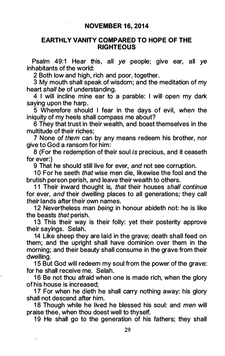# EARTHLY VANITY COMPARED TO HOPE OF THE **RIGHTEOUS**

Psalm 49:1 Hear this, all ye people; give ear, all ye inhabitants of the world:

2 Both low and high, rich and poor, together. .

3 My mouth shall speak of wisdom; and the meditation of my heart shall be of understanding.

 $4$  I will incline mine ear to a parable: I will open my dark saying upon the harp.

5 Wherefore should I fear in the days of evil, when the iniquity of my heels shall compass me about?

6 They that trust in their wealth, and boast themselves in the multitude of their riches;

7 None of them can by any means redeem his brother, nor give to God a ransom for him:

8 {For the redemption of their soul is precious, and it ceaseth for ever:)

9 That he should still live for ever, and not see corruption.

10 For he seeth that wise men die, likewise the fool and the brutish person perish, and leave their wealth to others.

11 Their inward thought is, that their houses shall continue for ever, and their dwelling places to all generations; they call their lands after their own names.

12 Nevertheless man being in honour abideth not: he is like the beasts that perish.

13 This their way is their folly: yet their posterity approve their sayings. Selah.

14 Like sheep they are laid in the grave; death shall feed on them; and the upright shall have dominion over them in the morning; and their beauty shall consume in the grave from their dwelling.

15 But God will redeem my soul from the power of the grave: for he shall receive me. Selah.

16 Be not thou afraid when one is made rich, when the glory of his house is increased;

17 For when he dieth he shall carry nothing away: his glory shall not descend after him.

18 Though while he lived he blessed his soul: and men will praise thee, when thou doest well to thyself.

19 He shall go to the generation of his fathers; they shall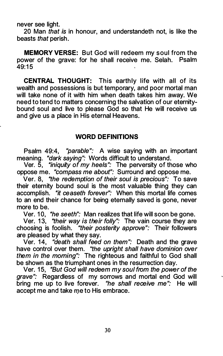never see light.

20 Man that is in honour, and understandeth not, is like the beasts that perish.

MEMORY VERSE: But God will redeem my soul from the power of the grave: for he shall receive me. Selah. Psalm 49:15

CENTRAL THOUGHT: This earthly life with all of its wealth and possessions is but temporary, and poor mortal man will take none of it with him when death takes him away. We need to tend to matters concerning the salvation of our eternitybound soul and live to please God so that He will receive us and give us a place in His eternal Heavens.

# WORD DEFINITIONS

Psalm 49:4, "parable": A wise saying with an important meaning. "dark saying": Words difficult to understand.

Ver. 5, "iniquity of my heels": The perversity of those who oppose me. "compass me about": Surround and oppose me.

Ver. 8, "the redemption of their soul is precious": To save their eternity bound soul is the most valuable thing they can accomplish. "it ceaseth forever": When this mortal life comes to an end their chance for being eternally saved is gone, never more to be.

Ver. 10, "he seeth": Man realizes that life will soon be gone.

Ver. 13, "their way is their folly": The vain course they are choosing is foolish. "their posterity approve": Their followers are pleased by what they say.

Ver. 14. "death shall feed on them": Death and the grave have control over them. "the upright shall have dominion over them in the morning": The righteous and faithful to God shall be shown as the triumphant ones in the resurrection day.

Ver. 15, "But God will redeem my soul from the power of the grave": Regardless of my sorrows and mortal end God will bring me up to live forever. "he shall receive me": He will accept me and take me to His embrace.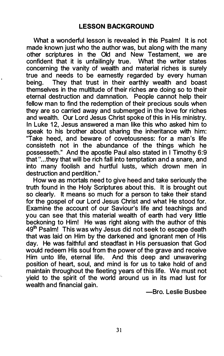What a wonderful lesson is revealed in this Psalm! It is not made known just who the author was, but aiong with the many other scriptures in the Old and New Testament, we are confident that it is unfailingly true. What the writer states concerning the vanity of wealth and material riches is surely true and needs to be earnestly regarded by every human<br>being. They that trust in their earthly wealth and boast They that trust in their earthly wealth and boast themselves in the multitude of their riches are doing so to their eternal destruction and damnation. People cannot help their fellow man to find the redemption of their precious souls when they are so carried away and submerged in the love for riches and wealth. Our Lord Jesus Christ spoke of this in His ministry. In Luke 12, Jesus answered a man like this who asked him to speak to his brother about sharing the inheritance with him: 'Take heed, and beware of covetousness: for a man's life consisteth not in the abundance of the things which he possesseth." And the apostle Paul also stated in I Timothy 6:9 that "... they that will be rich fall into temptation and a snare, and into many foolish and hurtful lusts, which drown men in destruction and perdition."

How we as mortals need to give heed and take seriously the truth found in the Holy Scriptures about this. It is brought out so clearly. It means so much for a person to take their stand for the gospel of our Lord Jesus Christ and what He stood for. Examine the account of our Saviour's life and teachings and you can see that this material wealth of earth had very little beckoning to Him! He was right along with the author of this 49<sup>th</sup> Psalm! This was why Jesus did not seek to escape death that was laid on Him by the darkened and ignorant men of His day. He was faithful and steadfast in His persuasion that God would redeem His soul from the power of the grave and receive Him unto life, eternal life. And this deep and unwavering position of heart, soul, and mind is for us to take hold of and maintain throughout the fleeting years of this life. We must not yield to the spirit of the world around us in its mad lust for wealth and financial gain.

-Bro. Leslie Busbee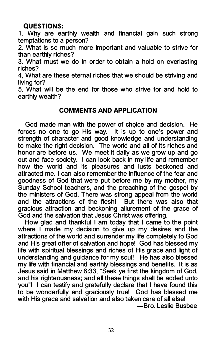# QUESTIONS:

1. Why are earthly wealth and financial gain such strong temptations to a person?

2. What is so much more important and valuable to strive for than earthly riches?

3. What must we do in order to obtain a hold on everlasting riches?

4, What are these eternal riches that we should be striving and living for?

5. What will be the end for those who strive for and hold to earthly wealth?

# COMMENTS AND APPLICATION

God made man with the power of choice and decision. He forces no one to go His way. It is up to one's power and strength of character and good knowledge and understanding to make the right decision. The world and all of its riches and honor are before us. We meet it daily as we grow up and go out and face society. I can look back in my life and remember how the world and its pleasures and lusts beckoned and attracted me. I can also remember the influence of the fear and goodness of God that were put before me by my mother, my Sunday School teachers, and the preaching of the gospel by the ministers of God. There was strong appeal from the world<br>and the attractions of the flesh! But there was also that and the attractions of the flesh! gracious attraction and beckoning allurement of the grace of God and the salvation that Jesus Christ was offering.

How glad and thankful I am today that I came to the point where I made my decision to give up my desires and the attractions of the world and surrender my life completely to God and His great offer of salvation and hope! God has blessed my life with spiritual blessings and riches of His grace and light of understanding and guidance for my soul! He has also blessed my life with financial and earthly blessings and benefits. It is as Jesus said in Matthew 6:33, "Seek ye first the kingdom of God, and his righteousness; and all these things shall be added unto you"! I can testify and gratefully declare that I have found this to be wonderfully and graciously true! God has blessed me with His grace and salvation and also taken care of all else! -Bro. Leslie Busbee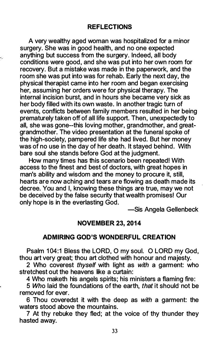A very wealthy aged woman was hospitalized for a minor surgery. She was in good health, and no one expected anything but success from the surgery. Indeed, all body conditions were good, and she was put into her own room for recovery. But a mistake was made in the paperwork, and the room she was put into was for rehab. Early the next day, the physical therapist came into her room and began exercising her, assuming her orders were for physical therapy. The internal incision burst, and in hours she became very sick as her body filled with its own waste. In another tragic turn of events, conflicts between family members resulted in her being prematurely taken off of all life support. Then, unexpectedly to all, she was gone--this loving mother, grandmother, and greatgrandmother. The video presentation at the funeral spoke of the high-society, pampered life she had lived. But her money was of no use in the day of her death. It stayed behind. With bare soul she stands before God at the judgment.

How many times has this scenario been repeated) With access to the finest and best of doctors, with great hopes in man's ability and wisdom and the money to procure it, still, hearts are now aching and tears are flowing as death made its decree. You and I, knowing these things are true, may we not be deceived by the false security that wealth promises! Our only hope is in the everlasting God.

-Sis Angela Gellenbeck

# NOVEMBER 23, 2014

# ADMIRING GOD'S WONDERFUL CREATION

Psalm 104:1 Bless the LORD, O my soul. O LORD my God, thou art very great; thou art clothed with honour and majesty.

2 Who coverest thyself with light as with a garment: who stretchest out the heavens like a curtain:

4 Who maketh his angels spirits; his ministers a flaming fire:

5 Who laid the foundations of the earth, that it should not be removed for ever.

6 Thou coveredst it with the deep as with a garment: the waters stood above the mountains.

7 At thy rebuke they fled; at the voice of thy thunder they hasted away.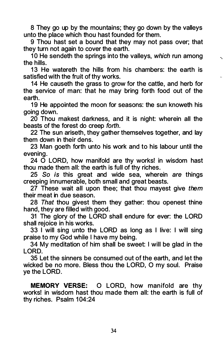8 They go up by the mountains; they go down by the valleys unto the place which thou hast founded for them.

9 Thou hast set a bound that they may not pass over; that they turn not again to cover the earth.

10 He sendeth the springs into the valleys, which run among the hills.

13 He watereth the hills from his chambers: the earth is satisfied with the fruit of thy works.

14 He causeth the grass to grow for the cattle, and herb for the service of man: that he may bring forth food out of the earth.

19 He appointed the moon for seasons: the sun knoweth his going down.

20 Thou makest darkness, and it is night: wherein all the beasts of the forest do creep forth.

22 The sun ariseth, they gather themselves together, and lay them down in their dens.

23 Man goeth forth unto his work and to his labour until the evening.

24 0 LORD, how manifold are thy works! in wisdom hast thou made them all: the earth is full of thy riches.

25 So is this great and wide sea, wherein are things creeping innumerable, both small and great beasts.

27 These wait all upon thee: that thou mavest give them their meat in due season.

28 That thou givest them they gather: thou openest thine hand, they are filled with good.

31 The glory of the LORD shall endure for ever: the LORD shall rejoice in his works.

33 I will sing unto the LORD as long as I live: I will sing praise to my God while I have my being.

34 My meditation of him shall be sweet: I will be glad in the LORD.

35 Let the sinners be consumed out of the earth, and let the wicked be no more. Bless thou the LORD, 0 my soul. Praise ye the LORD.

MEMORY VERSE: O LORD, how manifold are thy works! in wisdom hast thou made them all: the earth is full of thy riches. Psalm 104:24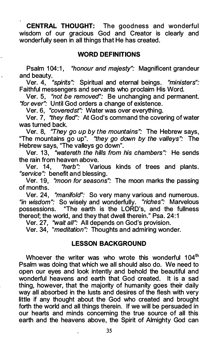CENTRAL THOUGHT: The goodness and wonderful wisdom of our gracious God and Creator is clearly and wonderfully seen in all things that He has created.

#### WORD DEFINITIONS

Psalm 104:1, "honour and majesty": Magnificent grandeur and beauty.<br>Ver. 4.

"spirits": Spiritual and eternal beings. "ministers": Faithful messengers and servants who proclaim His Word.

Ver. 5, "not be removed": Be unchanging and permanent. "for ever": Until God orders a change of existence.

Ver. 6, "coveredst": Water was over everything.

Ver. 7, *"they fled":* At God's command the covering of water was turned back.

Ver. 8, "They go up by the mountains": The Hebrew says, ''The mountains go up". "they go down by the valleys": The Hebrew says, "The valleys go down".

Ver. 13, "watereth the hills from his chambers": He sends the rain from heaven above.

Ver. 14, "herb": Various kinds of trees and plants. "service": benefit and blessing.

Ver. 19. "moon for seasons": The moon marks the passing of months.

Ver. 24, "manifold": So very many various and numerous. "in wisdom": So wisely and wonderfully. "riches": Marvelous possessions. "The earth is the LORD's, and the fullness thereof; the world, and they that dwell therein." Psa. 24:1

Ver. 27, "wait all": All depends on God's provision.

Ver. 34, "meditation": Thoughts and admiring wonder.

#### LESSON BACKGROUND

Whoever the writer was who wrote this wonderful 104<sup>th</sup> Psalm was doing that which we all should also do. We need to open our eyes and look intently and behold the beautiful and wonderful heavens and earth that God created. It is a sad thing, however, that the majority of humanity goes their daily way all absorbed in the lusts and desires of the flesh with very little if any thought about the God who created and brought forth the world and all things therein. If we will be persuaded in our hearts and minds concerning the true source of all this earth and the heavens above, the Spirit of Almighty God can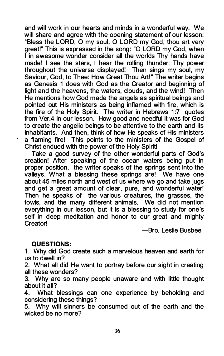and will work in our hearts and minds in a wonderful way. We will share and agree with the opening statement of our lesson: "Bless the LORD, 0 my soul. 0 LORD my God, thou art very greatl" This is expressed in the song: "0 LORD my God, when I in awesome wonder consider all the worlds Thy hands have made! I see the stars, I hear the rolling thunder: Thy power throughout the universe displayed! Then sings my soul, my Saviour, God, to Thee: How Great Thou Art!" The writer begins as Genesis 1 does with God as the Creator and beginning of light and the heavens, the waters, clouds, and the wind! Then He mentions how God made the angels as spiritual beings and pointed out His ministers as being inflamed with fire, which is the fire of the Holy Spirit. The writer in Hebrews 1:7 quotes from Ver.4 in our lesson. How good and needful it was for God to create the angelic beings to be attentive to the earth and its inhabitants. And then, think of how He speaks of His ministers a flaming fire! This points to the ministers of the Gospel of Christ endued with the power of the Holy Spirit!

Take a good survey of the other wonderful parts of God's creation! After speaking of the ocean waters being put in proper position, the writer speaks of the springs sent into the valleys. What a blessing these springs are! We have one about 45 miles north and west of us where we go and take jugs and get a great amount of clear, pure, and wonderful water! Then he speaks of the various creatures, the grasses, the fowls, and the many different animals. We did not mention everything in our lesson, but it is a blessing to study for one's self in deep meditation and honor to our great and mighty Creator!

-Bro. Leslie Busbee

#### QUESTIONS:

1 . Why did God create such a marvelous heaven and earth for us to dwell in?

2. What all did He want to portray before our sight in creating all these wonders?

3. Why are so many people unaware and with little thought about it all?

4. What blessings can one experience by beholding and considering these things?

5. Why will sinners be consumed out of the earth and the wicked be no more?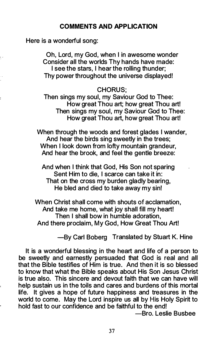# COMMENTS AND APPLICATION

Here is a wonderful song:

Oh, Lord, my God, when I in awesome wonder Consider all the worlds Thy hands have made: I see the stars, I hear the rolling thunder; Thy power throughout the universe displayed!

#### CHORUS;

Then sings my soul, my Saviour God to Thee: How great Thou art; how great Thou art! Then sings my soul, my Saviour God to Thee: How great Thou art, how great Thou art!

When through the woods and forest glades I wander. And hear the birds sing sweetly in the trees; When I look down from lofty mountain grandeur. And hear the brook, and feel the gentle breeze:

And when I think that God, His Son not sparing Sent Him to die, I scarce can take it in: That on the cross my burden gladly bearing, He bled and died to take away my sin!

When Christ shall come with shouts of acclamation, And take me home, what joy shall fill my heart! Then I shall bow in humble adoration, And there proclaim, My God, How Great Thou Art!

-By Carl Boberg Translated by Stuart K. Hine

It is a wonderful blessing in the heart and life of a person to be sweetly and earnestly persuaded that God is real and all that the Bible testifies of Him is true. And then it is so blessed to know that what the Bible speaks about His Son Jesus Christ is true also. This sincere and devout faith that we can have will help sustain us in the toils and cares and burdens of this mortal life. It gives a hope of future happiness and treasures in the world to come. May the Lord inspire us all by His Holy Spirit to hold fast to our confidence and be faithful to the end!

-Bro. Leslie Busbee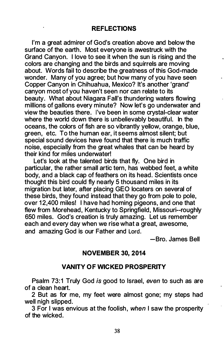I'm a great admirer of God's creation above and below the surface of the earth. Most everyone is awestruck with the Grand Canyon. I love to see it when the sun is rising and the colors are changing and the birds and squirrels are moving about. Words fail to describe the greatness of this God-made wonder. Many of you agree; but how many of you have seen Copper Canyon in Chihuahua, Mexico? It's another 'grand' canyon most of you haven't seen nor can relate to its beauty. What about Niagara Fall's thundering waters flowing millions of gallons every minute? Now let's go underwater and view the beauties there. I've been in some crystal-clear water where the world down there is unbelievably beautiful. In the oceans, the colors of fish are so vibrantly yellow, orange, blue, green, etc. To the human ear, it seems almost silent; but special sound devices have found that there is much traffic noise, especially from the great whales that can be heard by their kind for miles underwater!

Let's look at the talented birds that fly. One bird in particular, the rather small artie tern, has webbed feet, a white body, and a black cap of feathers on its head. Scientists once thought this bird could fly nearly 5 thousand miles in its migration but later, after placing GEO locaters on several of these birds, they found instead that they go from pole to pole, over 12,400 miles! I have had homing pigeons, and one that flew from Morehead, Kentucky to Springfield, Missouri--roughly 650 miles. God's creation is truly amazing. Let us remember each and every day when we rise what a great, awesome, and amazing God is our Father and Lord.

-Bro. James Bell

# NOVEMBER 30, 2014

# VANITY OF WICKED PROSPERITY

Psalm 73:1 Truly God is good to Israel, even to such as are of a clean heart.

2 But as for me, my feet were almost gone; my steps had well nigh slipped.

3 For I was envious at the foolish, when I saw the prosperity of the wicked.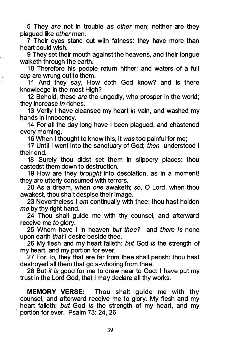5 They are not in trouble as other men; neither are they plagued like other men.

7 Their eyes stand out with fatness: they have more than heart could wish.

9 They set their mouth against the heavens, and their tongue walketh through the earth.

10 Therefore his people return hither: and waters of a full cup are wrung out to them.

11 And they say, How doth God know? and is there knowledge in the most High?

12 Behold, these are the ungodly, who prosper in the world; they increase in riches.

13 Verily I have cleansed my heart in vain, and washed my hands in innocency.

14 For all the day long have I been plagued, and chastened every morning.

16 When I thought to know this, it was too painful for me;

17 Until I went into the sanctuary of God; then understood I their end.

18 Surely thou didst set them in slippery places: thou castedst them down to destruction.

19 How are they *brought* into desolation, as in a moment! they are utterly consumed with terrors.

20 As a dream, when one awaketh; so, 0 Lord, when thou awakest, thou shalt despise their image.

23 Nevertheless I am continually with thee: thou hast holden me by thy right hand.

24 Thou shalt guide me with thy counsel, and afterward receive me to glory.

25 Whom have I in heaven but thee? and there is none upon earth that I desire beside thee.

26 My flesh and my heart faileth: but God is the strength of my heart, and my portion for ever. ·

27 For, lo, they that are far from thee shall perish: thou hast destroyed all them that go a-whoring from thee.

28 But it is good for me to draw near to God: I have put my trust in the Lord God, that I may declare all thy works.

MEMORY VERSE: Thou shalt guide me with thy counsel, and afterward receive me to glory. My flesh and my heart faileth: but God is the strength of my heart, and my portion for ever. Psalm 73: 24, 26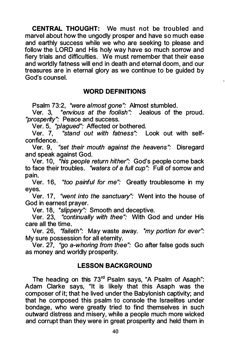**CENTRAL THOUGHT:** We must not be troubled and marvel about how the ungodly prosper and have so much ease and earthly success while we who are seeking to please and follow the LORD and His holy way have so much sorrow and fiery trials and difficulties. We must remember that their ease and worldly fatness will end in death and eternal doom, and our treasures are in eternal glory as we continue to be guided by God's counsel.

# WORD DEFINITIONS

Psalm 73:2, "were almost gone": Almost stumbled.

Ver. 3, "envious at the foolish": Jealous of the proud. "prosperity": Peace and success.

Ver. 5, "plagued": Affected or bothered.<br>Ver. 7. "stand out with fatness": I

"stand out with fatness": Look out with selfconfidence.

Ver. 9, "set their mouth against the heavens": Disregard and speak against God.

Ver. 10, "his people return hither": God's people come back to face their troubles. "waters of a full cup": Full of sorrow and pain.

Ver. 16, "too painful for me": Greatly troublesome in my eyes.

Ver. 17, "went into the sanctuary": Went into the house of God in earnest prayer.

Ver. 18, "slippery": Smooth and deceptive.

Ver. 23, "continually with thee": With God and under His care all the time.

Ver. 26, "faileth": May waste away. "my portion for ever": My sure possession for all eternity.

Ver. 27, "go a-whoring from thee": Go after false gods such as money and worldly prosperity.

# LESSON BACKGROUND

The heading on this 73<sup>rd</sup> Psalm says, "A Psalm of Asaph": Adam Clarke says, "It is likely that this Asaph was the composer of it; that he lived under the Babylonish captivity; and that he composed this psalm to console the Israelites under bondage, who were greatly tried to find themselves in such outward distress and misery, while a people much more wicked and corrupt than they were in great prosperity and held them in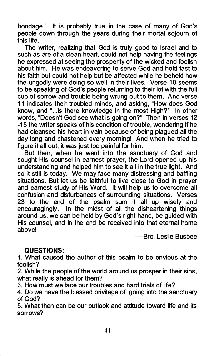bondage." It is probably true in the case of many of God's people down through the years during their mortal sojourn of this life.

The writer, realizing that God is truly good to Israel and to such as are of a clean heart, could not help having the feelings he expressed at seeing the prosperity of the wicked and foolish about him. He was endeavoring to serve God and hold fast to his faith but could not help but be affected while he beheld how the ungodly were doing so well in their lives. Verse 10 seems to be speaking of God's people returning to their lot with the full cup of sorrow and trouble being wrung out to them. And verse 11 indicates their troubled minds, and asking, "How does God know, and "... is there knowledge in the most High?" In other words, "Doesn't God see what is going on?" Then in verses 12 -1 5 the writer speaks of his condition of trouble, wondering if he had cleansed his heart in vain because of being plagued all the day long and chastened every morning! And when he tried to figure it all out, it was just too painful for him.

But then, when he went into the sanctuary of God and sought His counsel in earnest prayer, the Lord opened up his understanding and helped him to see it all in the true light. And so it still is today. We may face many distressing and baffling situations. But let us be faithful to live close to God in prayer and earnest study of His Word. It will help us to overcome all confusion and disturbances of surrounding situations. Verses 23 to the end of the psalm sum it all up wisely and encouragingly. In the midst of all the disheartening things around us, we can be held by God's right hand, be guided with His counsel, and in the end be received into that eternal home above!

-Bro. Leslie Busbee

# QUESTIONS:

1. What caused the author of this psalm to be envious at the foolish?

2. While the people of the world around us prosper in their sins, what really is ahead for them?

3. How must we face our troubles and hard trials of life?

4. Do we have the blessed privilege of going into the sanctuary of God?

5. What then can be our outlook and attitude toward life and its sorrows?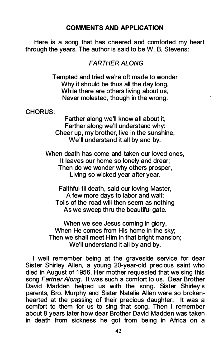# COMMENTS AND APPLICATION

Here is a song that has cheered and comforted my heart through the years. The author is said to be W. B. Stevens:

# **FARTHER AI ONG**

Tempted and tried we're oft made to wonder Why it should be thus all the day long. While there are others living about us. Never molested, though in the wrong.

CHORUS:

Farther along we'll know all about it, Farther along we'll understand why: Cheer up, my brother, live in the sunshine, We'll understand it all by and by.

When death has come and taken our loved ones, It leaves our home so lonely and drear; Then do we wonder why others prosper. Living so wicked year after year.

Faithful til death, said our loving Master, A few more days to labor and wait; Toils of the road will then seem as nothing As we sweep thru the beautiful gate.

When we see Jesus coming in glory, When He comes from His home in the sky; Then we shall meet Him in that bright mansion; We'll understand it all by and by.

I well remember being at the graveside service for dear Sister Shirley Allen, a young 20-year-old precious saint who died in August of 1956. Her mother requested that we sing this song Farther Along. It was such a comfort to us. Dear Brother David Madden helped us with the song. Sister Shirley's parents, Bro. Murphy and Sister Natalie Allen were so brokenhearted at the passing of their precious daughter. It was a comfort to them for us to sing that song. Then I remember about 8 years later how dear Brother David Madden was taken in death from sickness he got from being in Africa on a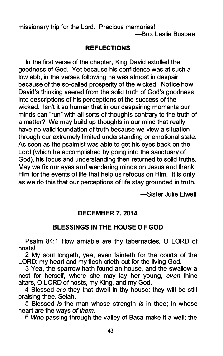missionary trip for the Lord. Precious memoriesl -Bro. Leslie Busbee

# **REFLECTIONS**

In the first verse of the chapter, King David extolled the goodness of God. Yet because his confidence was at such a low ebb, in the verses following he was almost in despair because of the so-called prosperity of the wicked. Notice how David's thinking veered from the solid truth of God's goodness into descriptions of his perceptions of the success of the wicked. Isn't it so human that in our despairing moments our minds can "run" with all sorts of thoughts contrary to the truth of a matter? We may build up thoughts in our mind that really have no valid foundation of truth because we view a situation through our extremely limited understanding or emotional state. As soon as the psalmist was able to get his eyes back on the Lord (which he accomplished by going into the sanctuary of God), his focus and understanding then returned to solid truths. May we fix our eyes and wandering minds on Jesus and thank Him for the events of life that help us refocus on Him. It is only as we do this that our perceptions of life stay grounded in truth.

-Sister Julie Elwell

# DECEMBER 7, 2014

# BLESSINGS IN THE HOUSE OF GOD

Psalm 84:1 How amiable are thy tabernacles, 0 LORD of hosts!

2 My soul longeth, yea, even fainteth for the courts of the LORD: my heart and my flesh crieth out for the living God.

3 Yea, the sparrow hath found an house, and the swallow a nest for herself, where she may lay her young, even thine altars, 0 LORD of hosts, my King, and my God.

4 Blessed are they that dwell in thy house: they will be still praising thee. Selah.

5 Blessed is the man whose strength is in thee; in whose heart are the ways of them.

6 Who passing through the valley of Baca make it a well; the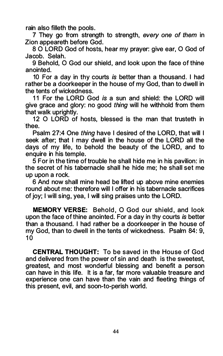rain also filleth the pools.

7 They go from strength to strength, every one of them in Zion appeareth before God.

8 0 LORD God of hosts, hear my prayer: give ear, 0 God of Jacob. Selah.

9 Behold, 0 God our shield, and look upon the face of thine anointed.

10 For a day in thy courts is better than a thousand. I had rather be a doorkeeper in the house of my God, than to dwell in the tents of wickedness.

11 For the LORD God is a sun and shield: the LORD will give grace and glory: no good thing will he withhold from them that walk uprightly.

12 0 LORD of hosts, blessed is the man that trusteth in thee.

Psalm 27:4 One thing have I desired of the LORD, that will I seek after; that I may dwell in the house of the LORD all the days of my life, to behold the beauty of the LORD, and to enquire in his temple.

5 For in the time of trouble he shall hide me in his pavilion: in the secret of his tabernacle shall he hide me; he shall set me up upon a rock.

6 And now shall mine head be lifted up above mine enemies round about me: therefore will I offer in his tabernacle sacrifices of joy; I will sing, yea, I will sing praises unto the LORD.

MEMORY VERSE: Behold, O God our shield, and look upon the face of thine anointed. For a day in thy courts is better than a thousand. I had rather be a doorkeeper in the house of my God, than to dwell in the tents of wickedness. Psalm 84: 9,  $10<sup>1</sup>$ 

**CENTRAL THOUGHT:** To be saved in the House of God and delivered from the power of sin and death is the sweetest, greatest, and most wonderful blessing and benefit a person can have in this life. It is a far, far more valuable treasure and experience one can have than the vain and fleeting things of this present, evil, and soon-to-perish world.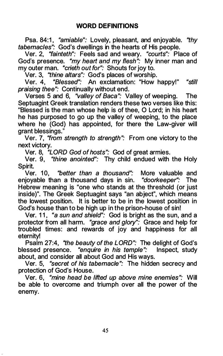Psa. 84:1, *"amiable":* Lovely, pleasant, and enjoyable. *"thy* tabernacles": God's dwellings in the hearts of His people.

Ver. 2, *"fainteth":* Feels sad and weary. *"courts": Pl*ace of God's presence. *"my heart and my flesh"*: My inner man and my outer man. "crieth out for": Shouts for joy to.

Ver. 3, ''thine altars": God's places of worship.

Ver. 4, ''Blessed": An exclamation: "How happy!" "still praising thee": Continually without end.

Verses 5 and 6, 'valley of Baca": Valley of weeping. The Septuagint Greek translation renders these two verses like this: ''Blessed is the man whose help is of thee, 0 Lord; in his heart he has purposed to go up the valley of weeping, to the place where he (God) has appointed, for there the Law-giver will grant blessings."

Ver. 7, "from strength to strength": From one victory to the next victory.

Ver. 8, "LORD God of hosts": God of great armies.

Ver. 9, "thine anointed": Thy child endued with the Holy Spirit.

Ver. 10, "better than a thousand": More valuable and enjoyable than a thousand days in sin. "doorkeeper": The Hebrew meaning is "one who stands at the threshold (or just inside)". The Greek Septuagint says "an abject", which means the lowest position. It is better to be in the lowest position in God's house than to be high up in the prison-house of sin!

Ver. 11, "a sun and shield": God is bright as the sun, and a protector from all harm. "grace and glory": Grace and help for troubled times: and rewards of joy and happiness for all eternity!

Psalm 27:4, "the beauty of the LORD": The delight of God's blessed presence. "enquire in his temple": Inspect, study about, and consider all about God and His ways.

Ver. 5, "secret of his tabernacle": The hidden secrecy and protection of God's House.

Ver. 6, "mine head be lifted up above mine enemies": Will be able to overcome and triumph over all the power of the enemy.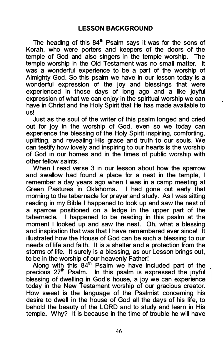The heading of this  $84<sup>th</sup>$  Psalm says it was for the sons of Korah, who were porters and keepers of the doors of the temple of God and also singers in the temple worship. The temple worship in the Old Testament was no small matter. It was a wonderful experience to be a part of the worship of Almighty God. So this psalm we have in our lesson today is a wonderful expression of the joy and blessings that were experienced in those days of long ago and a like joyful expression of what we can enjoy in the spiritual worship we can have in Christ and the Holy Spirit that He has made available to us!

Just as the soul of the writer of this psalm longed and cried out for joy in the worship of God, even so we today can experience the blessing of the Holy Spirit inspiring, comforting, uplifting, and revealing His grace and truth to our souls. We can testify how lovely and inspiring to our hearts is the worship of God in our homes and in the times of public worship with other fellow saints.

When I read verse 3 in our lesson about how the sparrow and swallow had found a place for a nest in the temple, I remember a day years ago when I was in a camp meeting at Green Pastures in Oklahoma. I had gone out early that morning to the tabernacle for prayer and study. As I was sitting reading in my Bible I happened to look up and saw the nest of a sparrow positioned on a ledge in the upper part of the tabernacle. I happened to be reading in this psalm at the moment I looked up and saw the nest. Oh, what a blessing and inspiration that was that I have remembered ever since! It illustrated how the House of God can be such a blessing to our needs of life and faith. It is a shelter and a protection from the storms of life. It surely is a blessing, as our Lesson brings out, to be in the worship of our heavenly Father!

Along with this 84<sup>th</sup> Psalm we have included part of the precious 27<sup>th</sup> Psalm. In this psalm is expressed the joyful blessing of dwelling in God's house, a joy we can experience today in the New Testament worship of our gracious creator. How sweet is the language of the Psalmist concerning his desire to dwell in the house of God all the days of his life, to behold the beauty of the LORD and to study and learn in His temple. Why? It is because in the time of trouble he will have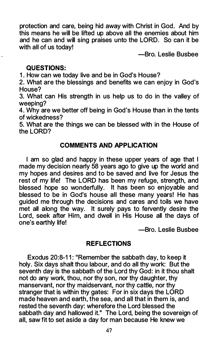protection and care, being hid away with Christ in God. And by this means he will be lifted up above all the enemies about him and he can and will sing praises unto the LORD. So can it be with all of us today!

-Bro. Leslie Busbee

# QUESTIONS:

1. How can we today live and be in God's House?

2. What are the blessings and benefits we can enjoy in God's House?

3. What can His strength in us help us to do in the valley of weeping?

4. Why are we better off being in God's House than in the tents of wickedness?

5. What are the things we can be blessed with in the House of the LORD?

# COMMENTS AND APPLICATION

I am so glad and happy in these upper years of age that I made my decision nearly 58 years ago to give up the world and my hopes and desires and to be saved and live for Jesus the rest of my life! The LORD has been my refuge, strength, and blessed hope so wonderfully. It has been so enjoyable and blessed to be in God's house all these many years! He has guided me through the decisions and cares and toils we have met all along the way. It surely pays to fervently desire the Lord, seek after Him, and dwell in His House all the days of one's earthly life!

-Bro. Leslie Busbee

# REFLECTIONS

Exodus 20:8-11: "Remember the sabbath day, to keep it holy. Six days shalt thou labour, and do all thy work: But the seventh day is the sabbath of the Lord thy God: in it thou shalt not do any work, thou, nor thy son, nor thy daughter, thy manservant, nor thy maidservant, nor thy cattle, nor thy stranger that is within thy gates: For in six days the LORD made heaven and earth, the sea, and all that in them is, and rested the seventh day: wherefore the Lord blessed the sabbath day and hallowed it." The Lord, being the sovereign of all, saw fit to set aside a day for man because He knew we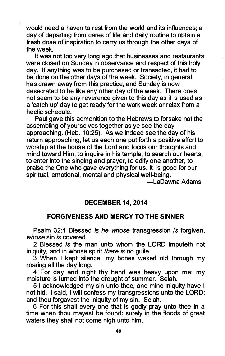would need a haven to rest from the world and its influences; a day of departing from cares of life and daily routine to obtain a fresh dose of inspiration to carry us through the other days of the week.

It was not too very long ago that businesses and restaurants were closed on Sunday in observance and respect of this holy day. If anything was to be purchased or transacted, it had to be done on the other days of the week. Society, in general, has drawn away from this practice, and Sunday is now desecrated to be like any other day of the week. There does not seem to be any reverence given to this day as it is used as a 'catch up' day to get ready for the work week or relax from a hectic schedule.

Paul gave this admonition to the Hebrews to forsake not the assembling of yourselves together as ye see the day approaching. (Heb. 10:25). As we indeed see the day of his return approaching, let us each one put forth a positive effort to worship at the house of the Lord and focus our thoughts and mind toward Him, to inquire in his temple, to search our hearts, to enter into the singing and prayer, to edify one another, to praise the One who gave everything for us. It is good for our spiritual, emotional, mental and physical well-being.

-LaDawna Adams

#### DECEMBER 14, 2014

#### FORGIVENESS AND MERCY TO THE SINNER

Psalm 32:1 Blessed is he whose transgression is forgiven, whose sin is covered.

2 Blessed is the man unto whom the LORD imputeth not iniquity, and in whose spirit there is no quile.

3 When I kept silence, my bones waxed old through my roaring all the day long.

4 For day and night thy hand was heavy upon me: my moisture is turned into the drought of summer. Selah.

5 I acknowledged my sin unto thee, and mine iniquity have I not hid. I said, I will confess my transgressions unto the LORD; and thou forgavest the iniquity of my sin. Selah.

6 For this shall every one that is godly pray unto thee in a time when thou mayest be found: surely in the floods of great waters they shall not come nigh unto him.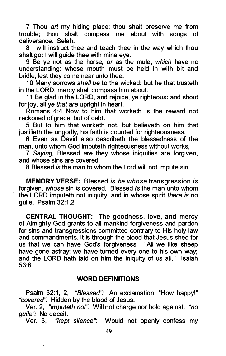7 Thou art my hiding place; thou shalt preserve me from trouble; thou shalt compass me about with songs of deliverance. Selah.

8 I will instruct thee and teach thee in the way which thou shalt go: I will guide thee with mine eye.

9 Be ye not as the horse, or as the mule, which have no understanding: whose mouth must be held in with bit and bridle, lest they come near unto thee.

10 Many sorrows shall be to the wicked: but he that trusteth in the LORD, mercy shall compass him about.

11 Be glad in the LORD, and rejoice, ye righteous: and shout for joy, all ye that are upright in heart.

Romans 4:4 Now to him that worketh is the reward not reckoned of grace, but of debt.

5 But to him that worketh not, but believeth on him that justifieth the ungodly, his faith is counted for righteousness.

6 Even as David also describeth the blessedness of the man, unto whom God imputeth righteousness without works,

7 Saying, Blessed are they whose iniquities are forgiven, and whose sins are covered.

8 Blessed is the man to whom the Lord will not impute sin.

MEMORY VERSE: Blessed is he whose transgression is forgiven, whose sin is covered. Blessed is the man unto whom the LORD imputeth not iniquity, and in whose spirit there is no quile. Psalm 32:1.2

CENTRAL THOUGHT: The goodness, love, and mercy of Almighty God grants to all mankind forgiveness and pardon for sins and transgressions committed contrary to His holy law and commandments. It is through the blood that Jesus shed for us that we can have God's forgiveness. "All we like sheep have gone astray; we have turned every one to his own way; and the LORD hath laid on him the iniquity of us all." Isaiah 53:6

# WORD DEFINITIONS

Psalm 32:1, 2, "Blessed": An exclamation: "How happy!" "covered": Hidden by the blood of Jesus.

Ver. 2, "imputeth not": Will not charge nor hold against. "no guile": No deceit.

Ver. 3, "kept silence": Would not openly confess my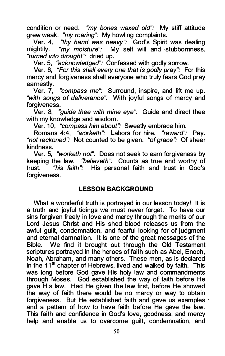condition or need. "my bones waxed old": My stiff attitude grew weak. "my roaring": My howling complaints.

Ver. 4, "thy hand was heavy": God's Spirit was dealing<br>mightily. "my moisture": My self will and stubbornness. "my moisture": My self will and stubbornness. "turned into drought": dried up.

Ver. 5, �'acknowledged": Confessed with godly sorrow.

Ver. 6, "For this shall every one that is godly pray": For this mercy and forgiveness shall everyone who truly fears God pray earnestly.

Ver. 7, "compass me": Surround, inspire, and lift me up. "with songs of deliverance": With joyful songs of mercy and forgiveness.

Ver. 8, "guide thee with mine eye": Guide and direct thee with my knowledge and wisdom.

Ver. 10, "compass him about": Sweetly embrace him.

Romans 4:4, "worketh": Labors for hire. "reward": Pay. "not reckoned": Not counted to be given. "of grace": Of sheer kindness.

Ver. 5, "worketh not": Does not seek to earn forgiveness by keeping the law. �'believeth": Counts as true and worthy of trust. "his faith": His personal faith and trust in God's forgiveness.

# LESSON BACKGROUND

What a wonderful truth is portrayed in our lesson today! It is a truth and joyful tidings we must never forget. To have our sins forgiven freely in love and mercy through the merits of our Lord Jesus Christ and His shed blood releases us from the awful guilt, condemnation, and fearful looking for of judgment and eternal damnation. It is one of the great messages of the Bible. We find it brought out through the Old Testament scriptures portraved in the heroes of faith such as Abel, Enoch, Noah, Abraham, and many others. These men, as is declared in the 11<sup>th</sup> chapter of Hebrews, lived and walked by faith. This was long before God gave His holy law and commandments through Moses. God established the way of faith before He gave His law. Had He given the law first, before He showed the way of faith there would be no mercy or way to obtain forgiveness. But He established faith and gave us examples · and a pattern of how to have faith before He gave the law. This faith and confidence in God's love, goodness, and mercy help and enable us to overcome guilt, condemnation, and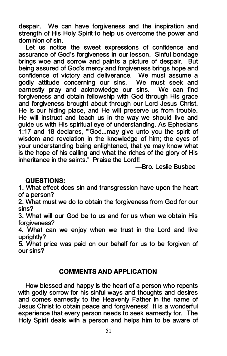despair. We can have forgiveness and the inspiration and strength of His Holy Spirit to help us overcome the power and dominion of sin.

Let us notice the sweet expressions of confidence and assurance of God's forgiveness in our lesson. Sinful bondage brings woe and sorrow and paints a picture of despair. But being assured of God's mercy and forgiveness brings hope and confidence of victory and deliverance. We must assume a godly attitude concerning our sins. We must seek and earnestly pray and acknowledge our sins. We can find forgiveness and obtain fellowship with God through His grace and forgiveness brought about through our Lord Jesus Christ. He is our hiding place, and He will preserve us from trouble. He will instruct and teach us in the way we should live and guide us with His spiritual eye of understanding. As Ephesians 1 :17 and 18 declares, "'God ... may give unto you the spirit of wisdom and revelation in the knowledge of him; the eyes of your understanding being enlightened, that ye may know what is the hope of his calling and what the riches of the glory of His inheritance in the saints." Praise the Lordi!

-Bro. Leslie Busbee

# QUESTIONS:

1. What effect does sin and transgression have upon the heart of a person?

2. What must we do to obtain the forgiveness from God for our sins?

3. What will our God be to us and for us when we obtain His forgiveness?

4. What can we enjoy when we trust in the Lord and live uprightly?

5. What price was paid on our behalf for us to be forgiven of our sins?

# COMMENTS AND APPLICATION

How blessed and happy is the heart of a person who repents with godly sorrow for his sinful ways and thoughts and desires and comes earnestly to the Heavenly Father in the name of Jesus Christ to obtain peace and forgiveness! It is a wonderful experience that every person needs to seek earnestly for. The Holy Spirit deals with a person and helps him to be aware of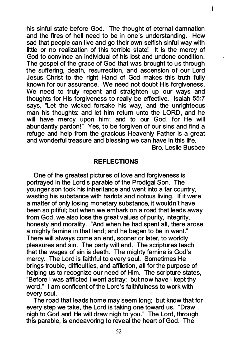his sinful state before God. The thought of eternal damnation and the fires of hell need to be in one's understanding. How sad that people can live and go their own selfish sinful way with little or no realization of this terrible state! It is the mercy of God to convince an individual of his lost and undone condition. The gospel of the grace of God that was brought to us through the suffering, death, resurrection, and ascension of our Lord Jesus Christ to the right Hand of God makes this truth fully known for our assurance. We need not doubt His forgiveness. We need to truly repent and straighten up our ways and thoughts for His forgiveness to really be effective. Isaiah 55:7 says, "Let the wicked forsake his way, and the unrighteous man his thoughts: and let him return unto the LORD, and he will have mercy upon him; and to our God, for He will abundantly pardon!" Yes, to be forgiven of our sins and find a refuge and help from the gracious Heavenly Father is a great and wonderful treasure and blessing we can have in this life. -Bro. Leslie Busbee

#### REFLECTIONS

One of the greatest pictures of love and forgiveness is portrayed in the Lord's parable of the Prodigal Son. The younger son took his inheritance and went into a far country, wasting his substance with harlots and riotous living. If it were a matter of only losing monetary substance, it wouldn't have been so pitiful; but when we embark on a road that leads away from God, we also lose the great values of purity, integrity, honesty and morality. "And when he had spent all, there arose a mighty famine in that land; and he began to be in want." There will always come an end, sooner or later, to worldly pleasures and sin. The party will end. The scriptures teach that the wages of sin is death. The mighty famine is God's mercy. The Lord is faithful to every soul. Sometimes He brings trouble, difficulties, and affliction, all for the purpose of helping us to recognize our need of Him. The scripture states, "Before I was afflicted I went astray: but now have I kept thy word." I am confident of the Lord's faithfulness to work with every soul.

The road that leads home may seem long; but know that for every step we take, the Lord is taking one toward us. "Draw nigh to God and He will draw nigh to you." The Lord, through this parable, is endeavoring to reveal the heart of God. The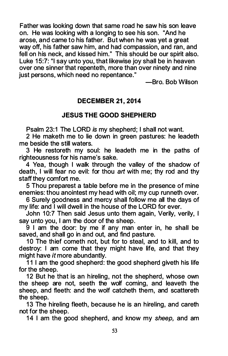Father was looking down that same road he saw his son leave on. He was looking with a longing to see his son. "And he arose, and came to his father. But when he was yet a great way off, his father saw him, and had compassion, and ran, and fell on his neck, and kissed him." This should be our spirit also. Luke 15:7: "I say unto you, that likewise joy shall be in heaven over one sinner that repenteth, more than over ninety and nine just persons, which need no repentance."

-Bro. Bob Wilson

#### DECEMBER 21 , 2014

#### JESUS THE GOOD SHEPHERD

Psalm 23:1 The LORD is my shepherd; I shall not want.

2 He maketh me to lie down in green pastures: he leadeth me beside the still waters.

3 He restoreth my soul: he leadeth me in the paths of righteousness for his name's sake.

4 Yea, though I walk through the valley of the shadow of death, I will fear no evil: for thou art with me; thy rod and thy staff they comfort me.

5 Thou preparest a table before me in the presence of mine enemies: thou anointest my head with oil; my cup runneth over.

6 Surely goodness and mercy shall follow me all the days of my life: and I will dwell in the house of the LORD for ever.

John 10:7 Then said Jesus unto them again, Verily, verily, I say unto you, I am the door of the sheep.

9 I am the door: by me if any man enter in, he shall be saved, and shall go in and out, and find pasture.

10 The thief cometh not, but for to steal, and to kill, and to destroy: I am come that they might have life, and that they might have it more abundantly.

11 I am the good shepherd: the good shepherd giveth his life for the sheep.

12 But he that is an hireling, not the shepherd, whose own the sheep are not, seeth the wolf coming, and leaveth the sheep, and fleeth: and the wolf catcheth them, and scattereth the sheep.

13 The hireling fleeth, because he is an hireling, and careth not for the sheep.

14 I am the good shepherd, and know my sheep, and am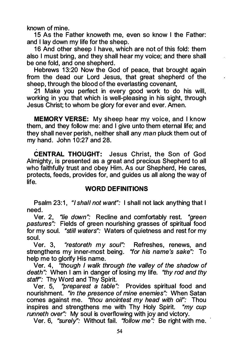known of mine.

15 As the Father knoweth me, even so know I the Father: and I lay down my life for the sheep.

16 And other sheep I have, which are not of this fold: them also I must bring, and they shall hear my voice; and there shall be one fold, and one shepherd.

Hebrews 13:20 Now the God of peace, that brought again from the dead our Lord Jesus, that great shepherd of the sheep, through the blood of the everlasting covenant,

21 Make you perfect in every good work to do his will, working in you that which is well-pleasing in his sight, through Jesus Christ; to whom be glory for ever and ever. Amen.

MEMORY VERSE: My sheep hear my voice, and I know them, and they follow me: and I give unto them eternal life; and they shall never perish, neither shall any man pluck them out of my hand. John  $10:27$  and 28.

CENTRAL THOUGHT: Jesus Christ, the Son of God Almighty, is presented as a great and precious Shepherd to all who faithfully trust and obey Him. As our Shepherd, He cares. protects, feeds, provides for, and guides us all along the way of life.

# WORD DEFINITIONS

Psalm 23:1, "I shall not want": I shall not lack anything that I need.

Ver. 2, "lie down": Recline and comfortably rest. "green pastures": Fields of green nourishing grasses of spiritual food for my soul. "still waters": Waters of quietness and rest for my soul.

Ver. 3, "restoreth my soul": Refreshes, renews, and strengthens my inner-most being. "for his name's sake": To help me to glorify His name.

Ver. 4.  $\check{\text{t}}$  though I walk through the valley of the shadow of death": When I am in danger of losing my life. "thy rod and thy staff": Thy Word and Thy Spirit.

Ver. 5, "preparest a table": Provides spiritual food and nourishment. "in the presence of mine enemies": When Satan comes against me. "thou anointest my head with oil": Thou<br>inspires and strengthens me with Thy Holy Spirit. "my cup inspires and strengthens me with Thy Holy Spirit. runneth over": My soul is overflowing with joy and victory.

Ver. 6, "surely": Without fail. "follow me": Be right with me.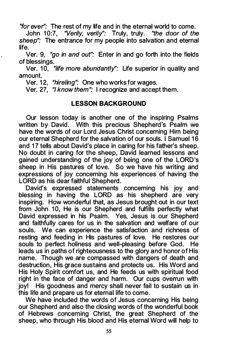"for ever": The rest of my life and in the eternal world to come.

John 10:7, "Verily, verily": Truly, truly, "the door of the sheep": The entrance for my people into salvation and eternal life.

Ver. 9, "go in and out": Enter in and go forth into the fields of blessings.

Ver. 10, "life more abundantly": Life superior in quality and amount.

Ver. 12, *"hireling":* One who works for wages.

Ver. 27, *"I know them":* I recognize and accept them.

#### LESSON BACKGROUND

Our lesson today is another one of the inspiring Psalms written by David. With this precious Shepherd's Psalm we have the words of our Lord Jesus Christ concerning Him being our eternal Shepherd for the salvation of our souls. I Samuel 16 and 17 tells about David's place in caring for his father's sheep. No doubt in caring for the sheep, David learned lessons and gained understanding of the joy of being one of the LORD's sheep in His pastures of love. So we have his writing and expressions of joy concerning his experiences of having the LORD as his dear faithful Shepherd.

David's expressed statements concerning his joy and blessing in having the LORD as his shepherd are very inspiring. How wonderful that, as Jesus brought out in our text from John 10, He is our Shepherd and fulfills perfectly what David expressed in his Psalm. Yes, Jesus is our Shepherd and faithfully cares for us in the salvation and welfare of our souls. We can experience the satisfaction and richness of resting and feeding in His pastures of love. He restores our souls to perfect holiness and well-pleasing before God. He leads us in paths of righteousness to the glory and honor of His name. Though we are compassed with dangers of death and destruction, His grace sustains and protects us. His Word and His Holy Spirit comfort us, and He feeds us with spiritual food right in the face of danger and harm. Our cups overrun with joyl His goodness and mercy shall never fail to sustain us in this life and prepare us for eternal life to come.

We have included the words of Jesus concerning His being our Shepherd and also the closing words of the wonderful book of Hebrews concerning Christ, the great Shepherd of the sheep, who through His blood and His eternal Word will help to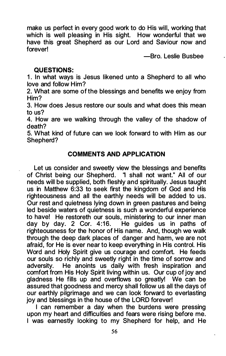make us perfect in every good work to do His will, working that which is well pleasing in His sight. How wonderful that we have this great Shepherd as our Lord and Saviour now and forever!

-Bro. Leslie Busbee

 $\hat{\mathbf{A}}$ 

# QUESTIONS:

1. In what ways is Jesus likened unto a Shepherd to all who love and follow Him?

2. What are some of the blessings and benefits we enjoy from Him?

3. How does Jesus restore our souls and what does this mean to us?

4. How are we walking through the valley of the shadow of death?

5. What kind of future can we look forward to with Him as our Shepherd?

# COMMENTS AND APPLICATION

Let us consider and sweetly view the blessings and benefits of Christ being our Shepherd. "I shall not want." All of our needs will be supplied, both fleshly and spiritually. Jesus taught us in Matthew 6:33 to seek first the kingdom of God and His righteousness and all the earthly needs will be added to us. Our rest and quietness lying down in green pastures and being led beside waters of quietness is such a wonderful experience to have! He restoreth our souls, ministering to our inner man day by day.  $2$  Cor.  $4:16$ . He guides us in paths of righteousness for the honor of His name. And, though we walk through the deep dark places of danger and harm, we are not afraid, for He is ever near to keep everything in His control. His Word and Holy Spirit give us courage and comfort. He feeds our souls so richly and sweetly right in the time of sorrow and adversity. He anoints us daily with fresh inspiration and comfort from His Holy Spirit living within us. Our cup of joy and gladness He fills up and overflows so greatly! We can be assured that goodness and mercy shall follow us all the days of our earthly pilgrimage and we can look forward to everlasting joy and blessings in the house of the LORD forever!

I can remember a day when the burdens were pressing upon my heart and difficulties and fears were rising before me. I was earnestly looking to my Shepherd for help, and He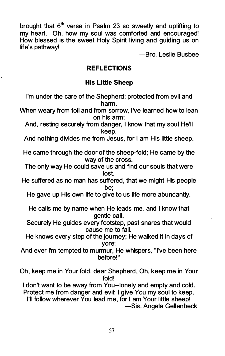brought that  $6<sup>th</sup>$  verse in Psalm 23 so sweetly and uplifting to my heart. Oh, how my soul was comforted and encouraged! How blessed is the sweet Holy Spirit living and guiding us on life's pathway!

-Bro. Leslie Busbee

# REFLECTIONS

# His Little Sheep

I'm under the care of the Shepherd; protected from evil and harm.

When weary from toil and from sorrow, I've learned how to lean on his arm;

And, resting securely from danger, I know that my soul He'll keep.

And nothing divides me from Jesus, for I am His little sheep.

He came through the door of the sheep-fold; He came by the way of the cross.

The only way He could save us and find our souls that were lost.

He suffered as no man has suffered, that we might His people be;

He gave up His own life to give to us life more abundantly.

He calls me by name when He leads me, and I know that gentle call.

Securely He guides every footstep, past snares that would cause me to fall.

He knows every step of the journey; He walked it in days of yore;

And ever I'm tempted to murmur, He whispers, "I've been here before!"

Oh, keep me in Your fold, dear Shepherd, Oh, keep me in Your fold!

I don't want to be away from You-lonely and empty and cold. Protect me from danger and evil; I give You my soul to keep. I'll follow wherever You lead me, for I am Your little sheepl

-Sis. Angela Gellenbeck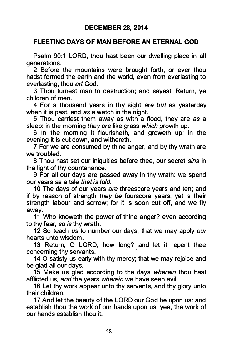# FLEETING DAYS OF MAN BEFORE AN ETERNAL GOD

Psalm 90:1 LORD, thou hast been our dwelling place in all generations.

2 Before the mountains were brought forth, or ever thou hadst formed the earth and the world, even from everlasting to everlasting, thou art God.

3 Thou turnest man to destruction; and sayest, Return, ye children of men.

4 For a thousand years in thy sight are but as yesterday when it is past, and as a watch in the night.

5 Thou carriest them away as with a flood, they are as a sleep: in the morning they are like grass which growth up.

6 In the morning it flourisheth, and groweth up; in the evening it is cut down, and withereth.

7 For we are consumed by thine anger, and by thy wrath are we troubled.

8 Thou hast set our iniquities before thee, our secret sins in the light of thy countenance.

9 For all our days are passed away in thy wrath: we spend our years as a tale that is told.

10 The days of our years are threescore years and ten; and if by reason of strength they be fourscore years, yet is their strength labour and sorrow; for it is soon cut off, and we fly away.

11 Who knoweth the power of thine anger? even according to thy fear, so is thy wrath.

12 So teach us to number our days, that we may apply our hearts unto wisdom.

13 Return, 0 LORD, how long? and let it repent thee concerning thy servants.

14 0 satisfy us early with thy mercy; that we may rejoice and be glad all our days.

15 Make us glad according to the days wherein thou hast afflicted us, and the years wherein we have seen evil.

16 Let thy work appear unto thy servants, and thy glory unto their children.

17 And let the beauty of the LORD our God be upon us: and establish thou the work of our hands upon us; yea, the work of our hands establish thou it.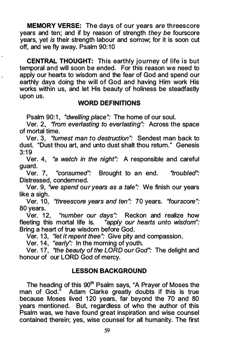MEMORY VERSE: The days of our years are threescore years and ten; and if by reason of strength they be fourscore years, yet is their strength labour and sorrow; for it is soon cut off, and we fly away. Psalm 90:10

CENTRAL THOUGHT: This earthly journey of life is but temporal and will soon be ended. For this reason we need to apply our hearts to wisdom and the fear of God and spend our earthly days doing the will of God and having Him work His works within us, and let His beauty of holiness be steadfastly upon us.

#### WORD DEFINITIONS

Psalm 90:1, "dwelling place": The home of our soul.

Ver. 2, "from everlasting to everlasting": Across the space of mortal time.

Ver. 3, "turnest man to destruction": Sendest man back to dust. "Dust thou art, and unto dust shalt thou return." Genesis 3:19

Ver. 4, "a watch in the night": A responsible and careful guard.

Ver. 7, "consumed": Brought to an end. "troubled": Distressed, condemned.

Ver. 9, "we spend our years as a tale": We finish our years like a sigh.

Ver. 10, "threescore years and ten": 70 years. "fourscore": 80 years.

Ver. 12, "number our days": Reckon and realize how fleeting this mortal life is. "apply our hearts unto wisdom": Bring a heart of true wisdom before God.

Ver. 13. "let it repent thee": Give pity and compassion.

Ver. 14, *"early":* In the morning of youth.

Ver. 17, *"the beauty of the LORD our God":* The delight and honour of our LORD God of mercy.

# LESSON BACKGROUND

The heading of this 90<sup>th</sup> Psalm says, "A Prayer of Moses the man of God." Adam Clarke greatly doubts if this is true because Moses lived 120 years, far beyond the 70 and 80 years mentioned. But, regardless of who the author of this Psalm was, we have found great inspiration and wise counsel contained therein; yes, wise counsel for all humanity. The first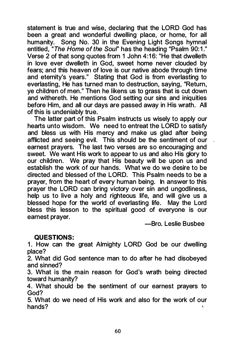statement is true and wise, declaring that the LORD God has been a great and wonderful dwelling place, or home, for all humanity. Song No. 30 in the Evening Light Songs hymnal entitled. "The Home of the Soul" has the heading "Psalm 90:1." Verse 2 of that song quotes from 1 John 4:16: "He that dwelleth in love ever dwelleth in God, sweet home never clouded by fears; and this heaven of love is our native abode through time and eternity's years." Stating that God is from everlasting to everlasting, He has turned man to destruction, saying, "Return, ye children of men." Then he likens us to grass that is cut down and withereth. He mentions God setting our sins and iniquities before Him, and all our days are passed away in His wrath. All of this is undeniably true.

The latter part of this Psalm instructs us wisely to apply our hearts unto wisdom. We need to entreat the LORD to satisfy and bless us with His mercy and make us glad after being afflicted and seeing evil. This should be the sentiment of our earnest prayers. The last two verses are so encouraging and sweet. We want His work to appear to us and also His glory to our children. We pray that His beauty will be upon us and establish the work of our hands. What we do we desire to be directed and blessed of the LORD. This Psalm needs to be a prayer, from the heart of every human being. In answer to this prayer the LORD can bring victory over sin and ungodliness, help us to live a holy and righteous life, and will give us a blessed hope for the world of everlasting life. May the Lord bless this lesson to the spiritual good of everyone is our earnest prayer.

-Bro. Leslie Busbee

#### QUESTIONS:

1. How can the great Almighty LORD God be our dwelling place?

2. What did God sentence man to do after he had disobeyed and sinned?

3. What is the main reason for God's wrath being directed toward humanity?

4. What should be the sentiment of our earnest prayers to God?

5. What do we need of His work and also for the work of our hands?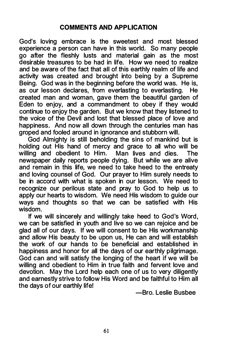God's loving embrace is the sweetest and most blessed experience a person can have in this world. So many people go after the fleshly lusts and material gain as the most desirable treasures to be had in life. How we need to realize and be aware of the fact that all of this earthly realm of life and activity was created and brought into being by a Supreme Being. God was in the beginning before the world was. He is, as our lesson declares, from everlasting to everlasting. He created man and woman, gave them the beautiful garden of Eden to enjoy, and a commandment to obey if they would continue to enjoy the garden. But we know that they listened to the voice of the Devil and lost that blessed place of love and happiness. And now all down through the centuries man has groped and fooled around in ignorance and stubborn will.

God Almighty is still beholding the sins of mankind but is holding out His hand of mercy and grace to all who will be willing and obedient to Him Man lives and dies. The willing and obedient to Him. Man lives and dies. newspaper daily reports people dying. But while we are alive and remain in this life, we need to take heed to the entreaty and loving counsel of God. Our prayer to Him surely needs to be in accord with what is spoken in our lesson. We need to recognize our perilous state and pray to God to help us to apply our hearts to wisdom. We need His wisdom to guide our ways and thoughts so that we can be satisfied with His wisdom.

If we will sincerely and willingly take heed to God's Word, we can be satisfied in youth and live so we can rejoice and be glad all of our days. If we will consent to be His workmanship and allow His beauty to be upon us, He can and will establish the work of our hands to be beneficial and established in happiness and honor for all the days of our earthly pilgrimage. God can and will satisfy the longing of the heart if we will be willing and obedient to Him in true faith and fervent love and devotion. May the Lord help each one of us to very diligently and earnestly strive to follow His Word and be faithful to Him all the days of our earthly life!

-Bro. Leslie Busbee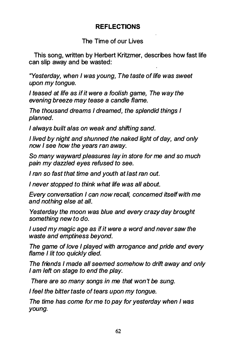# REFLECTIONS

# The Time of our Lives

This song, written by Herbert Kritzmer, describes how fast life can slip away and be wasted:

"Yesterday, when I was young, The taste of life was sweet upon my tongue.

I teased at life as if it were a foolish game, The way the evening breeze may tease a candle flame.

The thousand dreams I dreamed, the splendid things I planned.

I always built alas on weak and shifting sand.

/ lived by night and shunned the naked light of day, and only now I see how the years ran away.

So many wayward pleasures lay in store for me and so much pain my dazzled eyes refused to see.

I ran so fast that time and youth at last ran out.

I never stopped to think what life was all about.

Every conversation I can now recall, concerned itself with me and nothing else at all.

Yesterday the moon was blue and every crazy day brought something new to do.

I used my magic age as if it were a word and never saw the waste and emptiness beyond.

The game of love I played with arrogance and pride and every flame I lit too quickly died.

The friends I made all seemed somehow to drift away and only I am left on stage to end the play.

There are so many songs in me that won't be sung.

I feel the bitter taste of tears upon my tongue.

The time has come for me to pay for yesterday when I was young.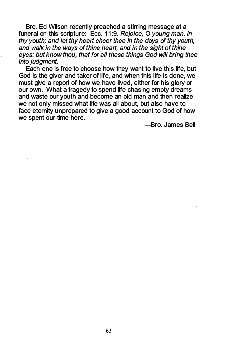Bro. Ed Wilson recently preached a stirring message at a funeral on this scripture: Ecc. 11:9. Rejoice, O young man, in · thy youth; and let thy heart cheer thee in the days of thy youth, and walk in the ways of thine heart, and in the sight of thine eyes: but know thou, that for all these things God will bring thee into judgment.

Each one is free to choose how they want to live this life, but God is the giver and taker of life, and when this life is done, we must give a report of how we have lived, either for his glory or our own. What a tragedy to spend life chasing empty dreams and waste our youth and become an old man and then realize we not only missed what life was all about, but also have to face eternity unprepared to give a good account to God of how we spent our time here.

-Bro. James Bell